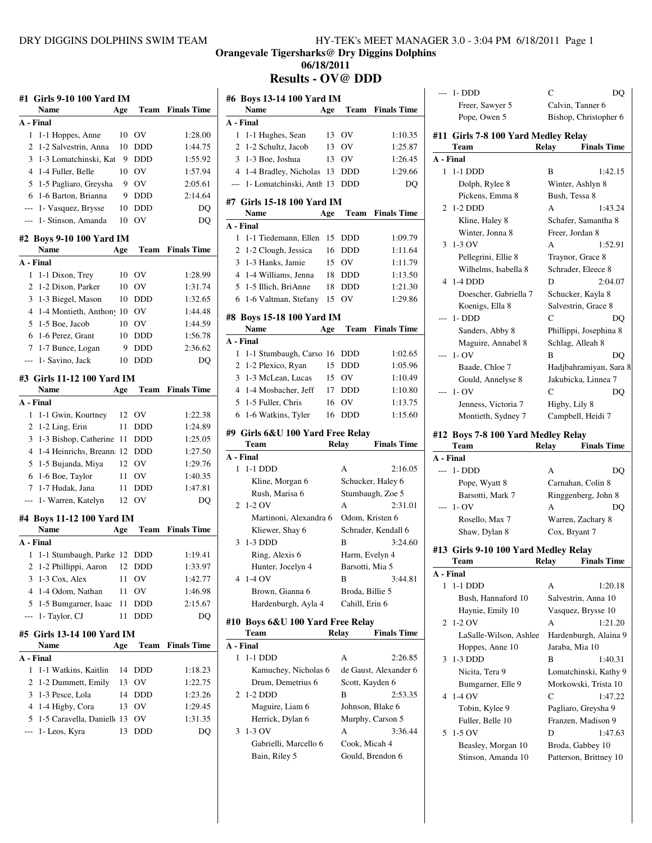## **Orangevale Tigersharks@ Dry Diggins Dolphins 06/18/2011**

**Results - OV@ DDD**

 $\overline{\phantom{a}}$ 

|                          | #1 Girls 9-10 100 Yard IM                 |     |             |                    |
|--------------------------|-------------------------------------------|-----|-------------|--------------------|
|                          | Name                                      | Age | Team        | <b>Finals Time</b> |
|                          | A - Final                                 |     |             |                    |
| 1                        | 1-1 Hoppes, Anne                          | 10  | OV          | 1:28.00            |
| 2                        | 1-2 Salvestrin, Anna                      | 10  | <b>DDD</b>  | 1:44.75            |
|                          | 3 1-3 Lomatchinski, Kat                   | 9   | <b>DDD</b>  | 1:55.92            |
|                          | 4 1-4 Fuller, Belle                       | 10  | OV          | 1:57.94            |
|                          | 5 1-5 Pagliaro, Greysha                   |     | 9 OV        | 2:05.61            |
| 6                        | 1-6 Barton, Brianna                       | 9   | <b>DDD</b>  | 2:14.64            |
| $\overline{\phantom{a}}$ | 1- Vasquez, Brysse                        | 10  | <b>DDD</b>  | DQ                 |
| ---                      | 1- Stinson, Amanda                        | 10  | OV          | DQ                 |
|                          | #2 Boys 9-10 100 Yard IM                  |     |             |                    |
|                          | Name                                      | Age | <b>Team</b> | <b>Finals Time</b> |
|                          | A - Final                                 |     |             |                    |
| 1                        | 1-1 Dixon, Trey                           | 10  | ov          | 1:28.99            |
| 2                        | 1-2 Dixon, Parker                         | 10  | <b>OV</b>   | 1:31.74            |
| 3                        | 1-3 Biegel, Mason                         | 10  | <b>DDD</b>  | 1:32.65            |
|                          | 4 1-4 Montieth, Anthon <sup>10</sup>      |     | <b>OV</b>   | 1:44.48            |
|                          | 5 1-5 Boe, Jacob                          | 10  | <b>OV</b>   | 1:44.59            |
| 6                        | 1-6 Perez, Grant                          | 10  | <b>DDD</b>  | 1:56.78            |
| 7                        | 1-7 Bunce, Logan                          | 9   | <b>DDD</b>  | 2:36.62            |
| ---                      | 1- Savino, Jack                           | 10  | <b>DDD</b>  | DO                 |
|                          | #3 Girls 11-12 100 Yard IM                |     |             |                    |
|                          | Name                                      | Age | <b>Team</b> | <b>Finals Time</b> |
|                          | A - Final                                 |     |             |                    |
| 1                        | 1-1 Gwin, Kourtney                        | 12  | <b>OV</b>   | 1:22.38            |
| 2                        | 1-2 Ling, Erin                            | 11  | <b>DDD</b>  | 1:24.89            |
| 3                        | 1-3 Bishop, Catherine                     | 11  | DDD         | 1:25.05            |
| $\overline{4}$           | 1-4 Heinrichs, Breann 12 DDD              |     |             | 1:27.50            |
| 5                        | 1-5 Bujanda, Miya                         |     | 12 OV       | 1:29.76            |
| 6                        | 1-6 Boe, Taylor                           | 11  | <b>OV</b>   | 1:40.35            |
| 7                        | 1-7 Hudak, Jana                           | 11  | <b>DDD</b>  | 1:47.81            |
| $\overline{a}$           | 1- Warren, Katelyn                        | 12  | OV          | DQ                 |
|                          | #4  Boys 11-12 100 Yard IM                |     |             |                    |
|                          | <b>Name</b>                               | Age | Team        | <b>Finals Time</b> |
|                          | A - Final                                 |     |             |                    |
| 1                        | 1-1 Stumbaugh, Parke 12 DDD               |     |             | 1:19.41            |
|                          | $\overline{c}$<br>1-2 Phillippi, Aaron    | 12  | <b>DDD</b>  | 1:33.97            |
| 3                        | 1-3 Cox, Alex                             | 11  | OV          | 1:42.77            |
| 4                        | 1-4 Odom, Nathan                          | 11  | OV          | 1:46.98            |
| 5                        | 1-5 Bumgarner, Isaac                      | 11  | DDD         | 2:15.67            |
| ---                      | 1- Taylor, CJ                             | 11  | <b>DDD</b>  | DQ                 |
|                          |                                           |     |             |                    |
|                          | #5 Girls 13-14 100 Yard IM<br><b>Name</b> | Age | Team        | <b>Finals Time</b> |
|                          | A - Final                                 |     |             |                    |
| 1                        | 1-1 Watkins, Kaitlin                      | 14  | DDD         | 1:18.23            |
| 2                        | 1-2 Dummett, Emily                        | 13  | OV          | 1:22.75            |
| 3                        | 1-3 Pesce, Lola                           | 14  | DDD         | 1:23.26            |
| 4                        | 1-4 Higby, Cora                           | 13  | OV          | 1:29.45            |
| 5                        | 1-5 Caravella, Daniell 13                 |     | OV          | 1:31.35            |
| ---                      | 1- Leos, Kyra                             | 13  | DDD         | DQ                 |
|                          |                                           |     |             |                    |
|                          |                                           |     |             |                    |

## **#6 Boys 13-14 100 Yard IM Name Age Team Finals Time A - Final** 1 1-1 Hughes, Sean 13 OV 1:10.35 2 1-2 Schultz, Jacob 13 OV 1:25.87 3 1-3 Boe, Joshua 13 OV 1:26.45 4 1-4 Bradley, Nicholas 13 DDD 1:29.66 --- 1- Lomatchinski, Anth 13 DDD DQ **#7 Girls 15-18 100 Yard IM Name Age Team Finals Time A - Final** 1 1-1 Tiedemann, Ellen 15 DDD 1:09.79 2 1-2 Clough, Jessica 16 DDD 1:11.64 3 1-3 Hanks, Jamie 15 OV 1:11.79 4 1-4 Williams, Jenna 18 DDD 1:13.50 5 1-5 Illich, BriAnne 18 DDD 1:21.30 6 1-6 Valtman, Stefany 15 OV 1:29.86 **#8 Boys 15-18 100 Yard IM Name Age Team Finals Time A - Final** 1 1-1 Stumbaugh, Carso 16 DDD 1:02.65 2 1-2 Plexico, Ryan 15 DDD 1:05.96 3 1-3 McLean, Lucas 15 OV 1:10.49 4 1-4 Mosbacher, Jeff 17 DDD 1:10.80 5 1-5 Fuller, Chris 16 OV 1:13.75 6 1-6 Watkins, Tyler 16 DDD 1:15.60 **#9 Girls 6&U 100 Yard Free Relay Team Relay Finals Time A - Final** 1 1-1 DDD A 2:16.05 Kline, Morgan 6 Schucker, Haley 6 Rush, Marisa 6 Stumbaugh, Zoe 5 2 1-2 OV A 2:31.01 Martinoni, Alexandra 6 Odom, Kristen 6 Kliewer, Shay 6 Schrader, Kendall 6 3 1-3 DDD B 3:24.60 Ring, Alexis 6 Harm, Evelyn 4 Hunter, Jocelyn 4 Barsotti, Mia 5 4 1-4 OV B 3:44.81 Brown, Gianna 6 Broda, Billie 5 Hardenburgh, Ayla 4 Cahill, Erin 6 **#10 Boys 6&U 100 Yard Free Relay Team Relay Finals Time A - Final** 1 1-1 DDD A 2:26.85 Kamuchey, Nicholas 6 de Gaust, Alexander 6 Drum, Demetrius 6 Scott, Kayden 6 2 1-2 DDD B 2:53.35 Maguire, Liam 6 Johnson, Blake 6 Herrick, Dylan 6 Murphy, Carson 5 3 1-3 OV A 3:36.44 Gabrielli, Marcello 6 Cook, Micah 4 Bain, Riley 5 Gould, Brendon 6

|       | --- 1-DDD                            | C<br>DO                     |
|-------|--------------------------------------|-----------------------------|
|       | Freer, Sawyer 5                      | Calvin, Tanner 6            |
|       | Pope, Owen 5                         | Bishop, Christopher 6       |
|       | #11 Girls 7-8 100 Yard Medley Relay  |                             |
|       | Team                                 | <b>Finals Time</b><br>Relay |
|       | A - Final                            |                             |
|       | 1 1-1 DDD                            | В<br>1:42.15                |
|       | Dolph, Rylee 8                       | Winter, Ashlyn 8            |
|       | Pickens, Emma 8                      | Bush, Tessa 8               |
| 2     | $1-2$ DDD                            | A<br>1:43.24                |
|       |                                      |                             |
|       | Kline, Haley 8                       | Schafer, Samantha 8         |
|       | Winter, Jonna 8                      | Freer, Jordan 8             |
| 3     | 1-3 OV                               | A<br>1:52.91                |
|       | Pellegrini, Ellie 8                  | Traynor, Grace 8            |
|       | Wilhelms, Isabella 8                 | Schrader, Eleece 8          |
| 4     | $1-4$ DDD                            | D<br>2:04.07                |
|       | Doescher, Gabriella 7                | Schucker, Kayla 8           |
|       | Koenigs, Ella 8                      | Salvestrin, Grace 8         |
|       | $1 - DDD$                            | C<br>DO                     |
|       | Sanders, Abby 8                      | Phillippi, Josephina 8      |
|       | Maguire, Annabel 8                   | Schlag, Alleah 8            |
| ---   | $1 - OV$                             | B<br>DQ                     |
|       |                                      |                             |
|       | Baade, Chloe 7                       | Hadjbahramiyan, Sara 8      |
|       | Gould, Annelyse 8                    | Jakubicka, Linnea 7         |
| ---   | $1 - OV$                             | C<br>DQ                     |
|       | Jenness, Victoria 7                  | Higby, Lily 8               |
|       | Montieth, Sydney 7                   | Campbell, Heidi 7           |
|       | #12 Boys 7-8 100 Yard Medley Relay   |                             |
|       | Team                                 |                             |
|       |                                      | Relay                       |
|       | A - Final                            | <b>Finals Time</b>          |
|       |                                      | A                           |
|       | --- 1-DDD                            | DQ                          |
|       | Pope, Wyatt 8                        | Carnahan, Colin 8           |
|       | Barsotti, Mark 7                     | Ringgenberg, John 8         |
| $---$ | $1 - OV$                             | А<br>DQ                     |
|       | Rosello, Max 7                       | Warren, Zachary 8           |
|       | Shaw, Dylan 8                        | Cox, Bryant 7               |
|       | #13 Girls 9-10 100 Yard Medley Relay |                             |
|       | <b>Team</b>                          | <b>Finals Time</b><br>Relay |
|       | A - Final                            |                             |
| 1     | 1-1 DDD                              | А<br>1:20.18                |
|       | Bush, Hannaford 10                   | Salvestrin, Anna 10         |
|       | Haynie, Emily 10                     | Vasquez, Brysse 10          |
| 2     | 1-2 OV                               | A<br>1:21.20                |
|       |                                      |                             |
|       | LaSalle-Wilson, Ashlee               | Hardenburgh, Alaina 9       |
|       | Hoppes, Anne 10                      | Jaraba, Mia 10              |
| 3     | 1-3 DDD                              | B<br>1:40.31                |
|       | Nicita, Tera 9                       | Lomatchinski, Kathy 9       |
|       | Bumgarner, Elle 9                    | Morkowski, Trista 10        |
| 4     | $1-4$ OV                             | C<br>1:47.22                |
|       | Tobin, Kylee 9                       | Pagliaro, Greysha 9         |
|       | Fuller, Belle 10                     | Franzen, Madison 9          |
| 5     | $1-5$ OV                             | 1:47.63<br>D                |
|       | Beasley, Morgan 10                   | Broda, Gabbey 10            |
|       | Stinson, Amanda 10                   | Patterson, Brittney 10      |
|       |                                      |                             |
|       |                                      |                             |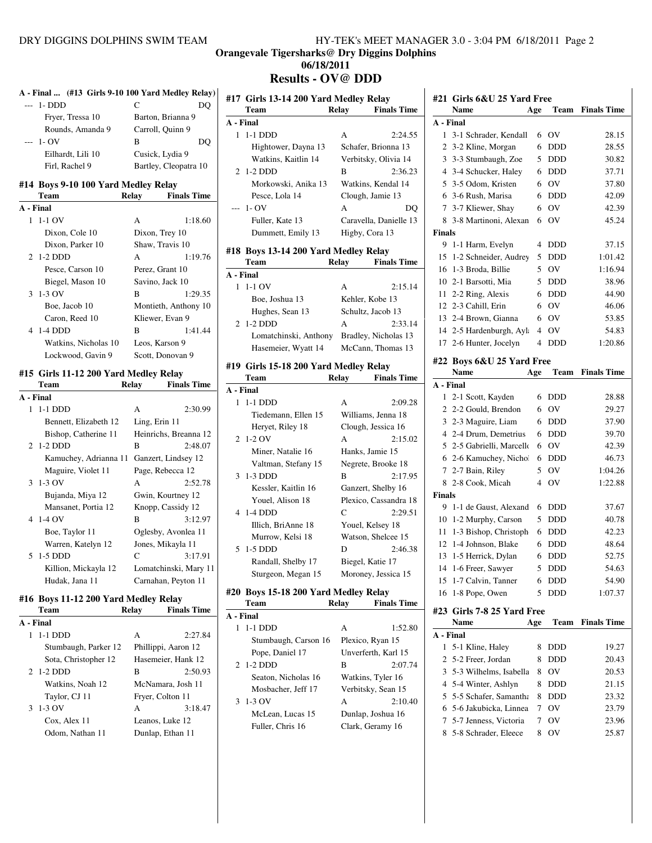**A - Final ... (#13 Girls 9-10 100 Yard Medley Relay)**

# **Orangevale Tigersharks@ Dry Diggins Dolphins**

# **06/18/2011**

# **Results - OV@ DDD #17 Girls 13-14 200 Yard Medley Relay**

| $---$          | 1-DDD                                 | C                           | DQ      |
|----------------|---------------------------------------|-----------------------------|---------|
|                | Fryer, Tressa 10                      | Barton, Brianna 9           |         |
|                | Rounds, Amanda 9                      | Carroll, Quinn 9            |         |
|                | $1 - OV$                              | B                           | DO      |
|                | Eilhardt, Lili 10                     | Cusick, Lydia 9             |         |
|                | Firl, Rachel 9                        | Bartley, Cleopatra 10       |         |
|                |                                       |                             |         |
|                | #14 Boys 9-10 100 Yard Medley Relay   |                             |         |
|                | Team                                  | <b>Finals Time</b><br>Relay |         |
| A - Final      |                                       |                             |         |
| $\mathbf{1}$   | $1-1$ OV                              | A                           | 1:18.60 |
|                | Dixon, Cole 10                        | Dixon, Trey 10              |         |
|                | Dixon, Parker 10                      | Shaw, Travis 10             |         |
| 2              | $1-2$ DDD                             | A                           | 1:19.76 |
|                | Pesce, Carson 10                      | Perez, Grant 10             |         |
|                | Biegel, Mason 10                      | Savino, Jack 10             |         |
| 3              | 1-3 OV                                | B                           | 1:29.35 |
|                | Boe, Jacob 10                         | Montieth, Anthony 10        |         |
|                | Caron, Reed 10                        | Kliewer, Evan 9             |         |
| $\overline{4}$ | $1-4$ DDD                             | $\overline{B}$              | 1:41.44 |
|                | Watkins, Nicholas 10                  | Leos, Karson 9              |         |
|                | Lockwood, Gavin 9                     | Scott, Donovan 9            |         |
|                |                                       |                             |         |
|                |                                       |                             |         |
|                | #15 Girls 11-12 200 Yard Medley Relay |                             |         |
|                | Team                                  | Relay<br><b>Finals Time</b> |         |
|                | A - Final                             |                             |         |
| $\mathbf{1}$   | 1-1 DDD                               | A                           | 2:30.99 |
|                | Bennett, Elizabeth 12                 | Ling, Erin 11               |         |
|                | Bishop, Catherine 11                  | Heinrichs, Breanna 12       |         |
| 2              | $1-2$ DDD                             | B                           | 2:48.07 |
|                | Kamuchey, Adrianna 11                 | Ganzert, Lindsey 12         |         |
|                | Maguire, Violet 11                    | Page, Rebecca 12            |         |
| 3              | $1-3$ OV                              | A                           | 2:52.78 |
|                | Bujanda, Miya 12                      | Gwin, Kourtney 12           |         |
|                | Mansanet, Portia 12                   | Knopp, Cassidy 12           |         |
| $\overline{4}$ | $1-4$ OV                              | B                           | 3:12.97 |
|                | Boe, Taylor 11                        | Oglesby, Avonlea 11         |         |
|                | Warren, Katelyn 12                    | Jones, Mikayla 11           |         |
| 5              | $1-5$ DDD                             | $\mathsf{C}$                | 3:17.91 |
|                | Killion, Mickayla 12                  | Lomatchinski, Mary 11       |         |
|                | Hudak, Jana 11                        | Carnahan, Peyton 11         |         |
|                | #16 Boys 11-12 200 Yard Medley Relay  |                             |         |

# **Team** Relay Finals Time  $\overline{A - Final}$

| A - Final            |                     |                    |
|----------------------|---------------------|--------------------|
| $1-1$ DDD            | A                   | 2:27.84            |
| Stumbaugh, Parker 12 | Phillippi, Aaron 12 |                    |
| Sota, Christopher 12 |                     | Hasemeier, Hank 12 |
| 2 1-2 DDD            | в                   | 2:50.93            |
| Watkins, Noah 12     | McNamara, Josh 11   |                    |
| Taylor, CJ 11        | Fryer, Colton 11    |                    |
| $3 \t1-3$ OV         | A                   | 3:18.47            |
| Cox, Alex 11         | Leanos, Luke 12     |                    |
| Odom, Nathan 11      | Dunlap, Ethan 11    |                    |
|                      |                     |                    |

|              | Team                                  | Relay | $\cdots$<br><b>Finals Time</b> |
|--------------|---------------------------------------|-------|--------------------------------|
|              | A - Final                             |       |                                |
| $\mathbf{1}$ | $1-1$ DDD                             | A     | 2:24.55                        |
|              | Hightower, Dayna 13                   |       | Schafer, Brionna 13            |
|              | Watkins, Kaitlin 14                   |       | Verbitsky, Olivia 14           |
| 2            | $1-2$ DDD                             | B     | 2:36.23                        |
|              | Morkowski, Anika 13                   |       | Watkins, Kendal 14             |
|              | Pesce, Lola 14                        |       | Clough, Jamie 13               |
| $---$        | $1 - OV$                              | A     | DO                             |
|              | Fuller, Kate 13                       |       | Caravella, Danielle 13         |
|              | Dummett, Emily 13                     |       | Higby, Cora 13                 |
|              | #18 Boys 13-14 200 Yard Medley Relay  |       |                                |
|              | Team                                  | Relay | <b>Finals Time</b>             |
|              | A - Final                             |       |                                |
| 1            | $1-1$ OV                              | A     | 2:15.14                        |
|              | Boe, Joshua 13                        |       | Kehler, Kobe 13                |
|              | Hughes, Sean 13                       |       | Schultz, Jacob 13              |
| 2            | $1-2$ DDD                             | A     | 2:33.14                        |
|              | Lomatchinski, Anthony                 |       | Bradley, Nicholas 13           |
|              | Hasemeier, Wyatt 14                   |       | McCann, Thomas 13              |
|              | #19 Girls 15-18 200 Yard Medley Relay |       |                                |
|              | Team                                  | Relay | <b>Finals Time</b>             |
|              | A - Final                             |       |                                |
| 1            | $1-1$ DDD                             | A     | 2:09.28                        |
|              | Tiedemann, Ellen 15                   |       | Williams, Jenna 18             |
|              | Heryet, Riley 18                      |       | Clough, Jessica 16             |
| 2            | $1-2$ OV                              | A     | 2:15.02                        |
|              | Miner, Natalie 16                     |       | Hanks, Jamie 15                |
|              | Valtman, Stefany 15                   |       | Negrete, Brooke 18             |
| 3            | $1-3$ DDD                             | R     | 2:17.95                        |
|              | Kessler, Kaitlin 16                   |       | Ganzert, Shelby 16             |
|              | Youel, Alison 18                      |       | Plexico, Cassandra 18          |
| 4            | $1-4$ DDD                             | C     | 2:29.51                        |
|              | Illich, BriAnne 18                    |       | Youel, Kelsey 18               |
|              | Murrow, Kelsi 18                      |       | Watson, Shelcee 15             |
| 5            | $1-5$ DDD                             | D     | 2:46.38                        |
|              | Randall, Shelby 17                    |       | Biegel, Katie 17               |

### **#20 Boys 15-18 200 Yard Medley Relay**

| Team                 | Relay | <b>Finals Time</b>  |
|----------------------|-------|---------------------|
| A - Final            |       |                     |
| 1-1 DDD<br>1         | A     | 1:52.80             |
| Stumbaugh, Carson 16 |       | Plexico, Ryan 15    |
| Pope, Daniel 17      |       | Unverferth, Karl 15 |
| 2 1-2 DDD            | R     | 2:07.74             |
| Seaton, Nicholas 16  |       | Watkins, Tyler 16   |
| Mosbacher, Jeff 17   |       | Verbitsky, Sean 15  |
| $3\;1-3\;0V$         | A     | 2:10.40             |
| McLean, Lucas 15     |       | Dunlap, Joshua 16   |
| Fuller, Chris 16     |       | Clark, Geramy 16    |

Sturgeon, Megan 15 Moroney, Jessica 15

## **#21 Girls 6&U 25 Yard Free Name Age Team Finals Time**

|              | rame                                          | Age            | 1 eam       | r inais 1 ime      |
|--------------|-----------------------------------------------|----------------|-------------|--------------------|
|              | A - Final                                     |                |             |                    |
| $\mathbf{1}$ | 3-1 Schrader, Kendall                         | 6              | OV          | 28.15              |
| 2            | 3-2 Kline, Morgan                             | 6              | <b>DDD</b>  | 28.55              |
| 3            | 3-3 Stumbaugh, Zoe                            | 5              | <b>DDD</b>  | 30.82              |
|              | 4 3-4 Schucker, Haley                         | 6              | <b>DDD</b>  | 37.71              |
| 5            | 3-5 Odom, Kristen                             | 6              | OV          | 37.80              |
|              | 6 3-6 Rush, Marisa                            | 6              | DDD         | 42.09              |
| 7            | 3-7 Kliewer, Shay                             | 6              | OV          | 42.39              |
| 8            | 3-8 Martinoni, Alexan                         | 6              | OV          | 45.24              |
| Finals       |                                               |                |             |                    |
| 9            | 1-1 Harm, Evelyn                              | 4              | DDD         | 37.15              |
| 15           | 1-2 Schneider, Audrey                         | 5              | <b>DDD</b>  | 1:01.42            |
| 16           | 1-3 Broda, Billie                             | 5              | OV          | 1:16.94            |
|              | 10 2-1 Barsotti, Mia                          | 5              | <b>DDD</b>  | 38.96              |
| 11           | 2-2 Ring, Alexis                              | 6              | <b>DDD</b>  | 44.90              |
| 12           | 2-3 Cahill, Erin                              | 6              | OV          | 46.06              |
| 13           | 2-4 Brown, Gianna                             | 6              | OV          | 53.85              |
| 14           | 2-5 Hardenburgh, Ayla                         | $\overline{4}$ | OV          | 54.83              |
| 17           | 2-6 Hunter, Jocelyn                           | 4              | <b>DDD</b>  | 1:20.86            |
|              |                                               |                |             |                    |
| #22          | Boys 6&U 25 Yard Free                         |                |             |                    |
|              | Name                                          | Age            | <b>Team</b> | <b>Finals Time</b> |
|              | A - Final                                     |                |             |                    |
| 1            | 2-1 Scott, Kayden                             | 6              | <b>DDD</b>  | 28.88              |
| 2            | 2-2 Gould, Brendon                            | 6              | OV          | 29.27              |
| 3            | 2-3 Maguire, Liam                             | 6              | <b>DDD</b>  | 37.90              |
|              | 4 2-4 Drum, Demetrius                         | 6              | <b>DDD</b>  | 39.70              |
|              | 5 2-5 Gabrielli, Marcello                     | 6              | OV          | 42.39              |
|              | 6 2-6 Kamuchey, Nichol                        | 6              | <b>DDD</b>  | 46.73              |
| $\tau$       | 2-7 Bain, Riley                               | 5              | OV          | 1:04.26            |
| 8            | 2-8 Cook, Micah                               | 4              | OV          | 1:22.88            |
| Finals       |                                               |                |             |                    |
| 9            | 1-1 de Gaust, Alexand                         | 6              | DDD         | 37.67              |
| 10           | 1-2 Murphy, Carson                            | 5              | <b>DDD</b>  | 40.78              |
| 11           | 1-3 Bishop, Christoph                         | 6              | <b>DDD</b>  | 42.23              |
| 12           | 1-4 Johnson, Blake                            | 6              | <b>DDD</b>  | 48.64              |
| 13           | 1-5 Herrick, Dylan                            | 6              | <b>DDD</b>  | 52.75              |
| 14           | 1-6 Freer, Sawyer                             | 5              | <b>DDD</b>  | 54.63              |
| 15           | 1-7 Calvin, Tanner                            | 6              | DDD         | 54.90              |
| 16           | 1-8 Pope, Owen                                | 5              | DDD         | 1:07.37            |
|              |                                               |                |             |                    |
|              | #23 Girls 7-8 25 Yard Free                    |                |             |                    |
|              | Name                                          | Age            | Team        | <b>Finals Time</b> |
| A - Final    |                                               |                |             |                    |
| 1            | 5-1 Kline, Haley                              | 8              | DDD         | 19.27              |
| 2            |                                               | 8              | <b>DDD</b>  | 20.43              |
|              | 5-2 Freer, Jordan                             |                |             |                    |
| 3            | 5-3 Wilhelms, Isabella                        | 8              | OV          | 20.53              |
| 4            | 5-4 Winter, Ashlyn                            | 8              | DDD         | 21.15              |
| 5            | 5-5 Schafer, Samantha                         | 8              | DDD         | 23.32              |
| 6            | 5-6 Jakubicka, Linnea                         | 7              | OV          | 23.79              |
| 7<br>8       | 5-7 Jenness, Victoria<br>5-8 Schrader, Eleece | 7<br>8         | OV<br>ov    | 23.96<br>25.87     |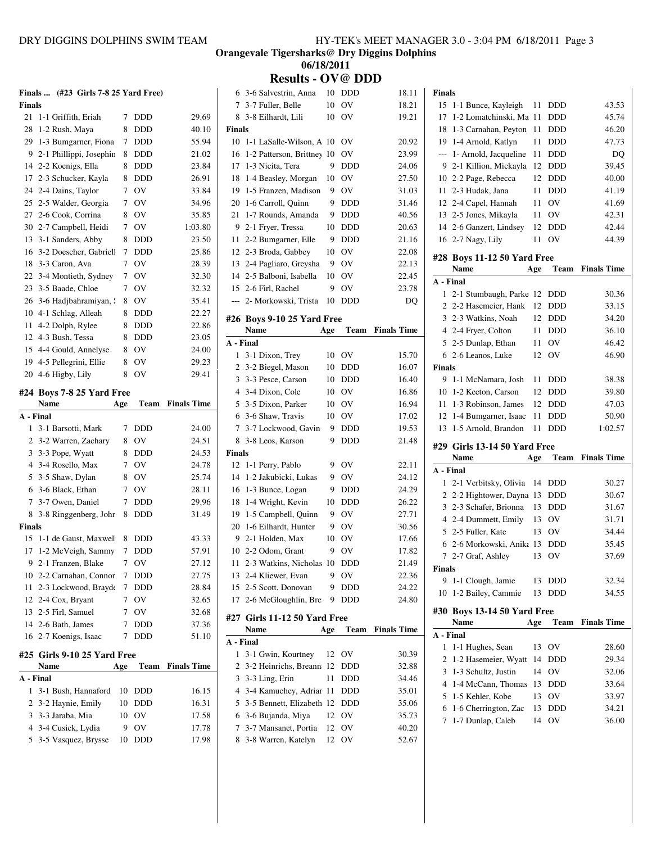| HY-TEK's MEET MANAGER 3.0 - 3:04 PM 6/18/2011 Page 3 |
|------------------------------------------------------|
|------------------------------------------------------|

**Orangevale Tigersharks@ Dry Diggins Dolphins 06/18/2011**

**Results - OV@ DDD**

3-6 Salvestrin, Anna 10 DDD 18.11

|               | Finals  (#23 Girls 7-8 25 Yard Free) |             |            |                    |                | 6 3-6 Salvestrin,                    |
|---------------|--------------------------------------|-------------|------------|--------------------|----------------|--------------------------------------|
| <b>Finals</b> |                                      |             |            |                    |                | 7 3-7 Fuller, Bel                    |
| 21            | 1-1 Griffith, Eriah                  | 7           | DDD        | 29.69              | 8              | 3-8 Eilhardt, L                      |
| 28            | 1-2 Rush, Maya                       | 8           | DDD        | 40.10              | <b>Finals</b>  |                                      |
|               | 29 1-3 Bumgarner, Fiona              | 7           | <b>DDD</b> | 55.94              | 10             | 1-1 LaSalle-W                        |
|               | 9 2-1 Phillippi, Josephin            | 8           | <b>DDD</b> | 21.02              | 16             | 1-2 Patterson,                       |
|               | 14 2-2 Koenigs, Ella                 | 8           | <b>DDD</b> | 23.84              | 17             | 1-3 Nicita, Ter                      |
|               | 17 2-3 Schucker, Kayla               | 8           | <b>DDD</b> | 26.91              |                | 18 1-4 Beasley, M                    |
|               | 24 2-4 Dains, Taylor                 | 7           | OV         | 33.84              | 19             | 1-5 Franzen, N                       |
|               | 25 2-5 Walder, Georgia               | 7           | <b>OV</b>  | 34.96              | 20             | 1-6 Carroll, Qu                      |
|               | 27 2-6 Cook, Corrina                 | 8           | OV         | 35.85              | 21             | 1-7 Rounds, A                        |
|               | 30 2-7 Campbell, Heidi               | 7           | OV         | 1:03.80            |                | 9 2-1 Fryer, Tres                    |
|               | 13 3-1 Sanders, Abby                 | 8           | <b>DDD</b> | 23.50              | 11             | 2-2 Bumgarne                         |
|               | 16 3-2 Doescher, Gabriell            | 7           | <b>DDD</b> | 25.86              |                | 12 2-3 Broda, Ga                     |
|               | 18 3-3 Caron, Ava                    | 7           | OV         | 28.39              |                | 13 2-4 Pagliaro, O                   |
|               | 22 3-4 Montieth, Sydney              | 7           | <b>OV</b>  | 32.30              |                | 14 2-5 Balboni, Is                   |
|               | 23 3-5 Baade, Chloe                  | 7           | <b>OV</b>  | 32.32              |                | 15 2-6 Firl, Rache                   |
|               | 26 3-6 Hadjbahramiyan, !             | 8           | OV         | 35.41              |                | --- 2- Morkowski.                    |
|               | 10 4-1 Schlag, Alleah                | 8           | <b>DDD</b> | 22.27              |                |                                      |
|               | 11 4-2 Dolph, Rylee                  | 8           | <b>DDD</b> | 22.86              |                | #26 Boys 9-10 25<br>Name             |
|               | 12 4-3 Bush, Tessa                   | 8           | <b>DDD</b> | 23.05              | A - Final      |                                      |
|               | 15 4-4 Gould, Annelyse               | 8           | <b>OV</b>  | 24.00              |                |                                      |
|               | 19 4-5 Pellegrini, Ellie             | 8           | <b>OV</b>  | 29.23              |                | 1 3-1 Dixon, Tre<br>2 3-2 Biegel, Ma |
|               | 20 4-6 Higby, Lily                   | 8           | <b>OV</b>  | 29.41              |                | 3 3-3 Pesce, Car                     |
|               |                                      |             |            |                    |                | 4 3-4 Dixon, Co                      |
|               | #24 Boys 7-8 25 Yard Free<br>Name    |             | Team       | <b>Finals Time</b> |                |                                      |
|               | A - Final                            | Age         |            |                    |                | 5 3-5 Dixon, Par<br>6 3-6 Shaw, Tra  |
|               |                                      | 7           | <b>DDD</b> |                    | 7              | 3-7 Lockwood                         |
|               | 1 3-1 Barsotti, Mark                 |             |            | 24.00              |                |                                      |
|               | 2 3-2 Warren, Zachary                | 8           | <b>OV</b>  | 24.51              |                | 8 3-8 Leos, Kars                     |
|               | 3 3-3 Pope, Wyatt                    | 8           | <b>DDD</b> | 24.53              | <b>Finals</b>  |                                      |
|               | 4 3-4 Rosello, Max                   | 7           | <b>OV</b>  | 24.78              | 12             | 1-1 Perry, Pab                       |
|               | 5 3-5 Shaw, Dylan                    | 8           | <b>OV</b>  | 25.74              | 14             | 1-2 Jakubicki,                       |
|               | 6 3-6 Black, Ethan                   | $7^{\circ}$ | <b>OV</b>  | 28.11              | 16             | 1-3 Bunce, Lo                        |
| 7             | 3-7 Owen, Daniel                     | 7           | <b>DDD</b> | 29.96              | 18             | 1-4 Wright, Ko                       |
| 8             | 3-8 Ringgenberg, Johr                | 8           | <b>DDD</b> | 31.49              | 19             | 1-5 Campbell,                        |
| <b>Finals</b> |                                      |             |            |                    |                | 20 1-6 Eilhardt, F                   |
|               | 15 1-1 de Gaust, Maxwell             | 8           | <b>DDD</b> | 43.33              | 9.             | 2-1 Holden, M                        |
|               | 17 1-2 McVeigh, Sammy                | 7           | <b>DDD</b> | 57.91              |                | 10 2-2 Odom, Gra                     |
| 9             | 2-1 Franzen, Blake                   | $7^{\circ}$ | OV         | 27.12              |                | 11 2-3 Watkins, N                    |
|               | 10 2-2 Carnahan, Connor              | 7           | DDD        | 27.75              |                | 13 2-4 Kliewer, E                    |
|               | 11 2-3 Lockwood, Brayde              | 7           | DDD        | 28.84              |                | 15 2-5 Scott, Don                    |
|               | 12 2-4 Cox, Bryant                   | 7           | OV         | 32.65              | 17             | 2-6 McGlough                         |
|               | 13 2-5 Firl, Samuel                  | 7           | OV         | 32.68              |                | #27 Girls 11-12 :                    |
|               | 14 2-6 Bath, James                   | 7           | <b>DDD</b> | 37.36              |                | Name                                 |
|               | 16 2-7 Koenigs, Isaac                | 7           | DDD        | 51.10              | A - Final      |                                      |
|               | #25 Girls 9-10 25 Yard Free          |             |            |                    |                | 1 3-1 Gwin, Kou                      |
|               | Name                                 | Age         | Team       | <b>Finals Time</b> | $\overline{2}$ | 3-2 Heinrichs,                       |
|               | A - Final                            |             |            |                    | 3              | 3-3 Ling, Erin                       |
|               | 1 3-1 Bush, Hannaford                | 10          | DDD        | 16.15              | 4              | 3-4 Kamuchey                         |
|               | 2 3-2 Haynie, Emily                  | 10          | DDD        | 16.31              | 5              | 3-5 Bennett, E                       |
|               | 3 3-3 Jaraba, Mia                    | 10          | OV         | 17.58              |                | 6 3-6 Bujanda, N                     |
|               | 4 3-4 Cusick, Lydia                  | 9           | OV         | 17.78              | 7              | 3-7 Mansanet,                        |
|               | 5 3-5 Vasquez, Brysse                | 10          | DDD        | 17.98              |                | 8 3-8 Warren, K                      |
|               |                                      |             |            |                    |                |                                      |

| $\tau$           | 3-7 Fuller, Belle            | 10  | OV             | 18.21              |
|------------------|------------------------------|-----|----------------|--------------------|
| 8                | 3-8 Eilhardt, Lili           | 10  | ov             | 19.21              |
| Finals           |                              |     |                |                    |
| 10               | 1-1 LaSalle-Wilson, A 10     |     | OV             | 20.92              |
| 16               | 1-2 Patterson, Brittney      | 10  | ov             | 23.99              |
| 17               | 1-3 Nicita, Tera             | 9   | <b>DDD</b>     | 24.06              |
| 18               | 1-4 Beasley, Morgan          | 10  | OV             | 27.50              |
| 19               | 1-5 Franzen, Madison         | 9   | ov             | 31.03              |
| 20               | 1-6 Carroll, Quinn           | 9   | DDD            | 31.46              |
| 21               | 1-7 Rounds, Amanda           | 9   | <b>DDD</b>     | 40.56              |
| 9                | 2-1 Fryer, Tressa            | 10  | <b>DDD</b>     | 20.63              |
| 11               | 2-2 Bumgarner, Elle          | 9   | <b>DDD</b>     | 21.16              |
| 12               | 2-3 Broda, Gabbey            | 10  | OV             | 22.08              |
| 13               | 2-4 Pagliaro, Greysha        | 9   | OV             | 22.13              |
| 14               | 2-5 Balboni, Isabella        |     |                | 22.45              |
|                  |                              | 10  | OV             |                    |
| 15               | 2-6 Firl, Rachel             | 9   | ov             | 23.78              |
| $\overline{a}$   | 2- Morkowski, Trista         | 10  | DDD            | DQ                 |
|                  | #26 Boys 9-10 25 Yard Free   |     |                |                    |
|                  | Name                         | Age | Team           | <b>Finals Time</b> |
| A - Final        |                              |     |                |                    |
| 1                | 3-1 Dixon, Trey              | 10  | OV             | 15.70              |
|                  | 2 3-2 Biegel, Mason          | 10  | DDD            | 16.07              |
| 3                | 3-3 Pesce, Carson            | 10  | <b>DDD</b>     | 16.40              |
| $\overline{4}$   | 3-4 Dixon, Cole              | 10  | OV             | 16.86              |
| 5                | 3-5 Dixon, Parker            | 10  | OV             | 16.94              |
| 6                | 3-6 Shaw, Travis             | 10  | OV             | 17.02              |
| $\boldsymbol{7}$ | 3-7 Lockwood, Gavin          | 9   | DDD            | 19.53              |
| 8                | 3-8 Leos, Karson             | 9   | <b>DDD</b>     | 21.48              |
| Finals           |                              |     |                |                    |
| 12               | 1-1 Perry, Pablo             | 9   | OV             | 22.11              |
| 14               | 1-2 Jakubicki, Lukas         | 9   | O <sub>V</sub> | 24.12              |
| 16               | 1-3 Bunce, Logan             | 9   | <b>DDD</b>     | 24.29              |
| 18               | 1-4 Wright, Kevin            | 10  | <b>DDD</b>     | 26.22              |
| 19               | 1-5 Campbell, Quinn          | 9   | OV             | 27.71              |
| 20               | 1-6 Eilhardt, Hunter         | 9   | OV             | 30.56              |
| 9                | 2-1 Holden, Max              | 10  | OV             | 17.66              |
| 10               | 2-2 Odom, Grant              | 9   | OV             | 17.82              |
| 11               | 2-3 Watkins, Nicholas 10     |     | <b>DDD</b>     | 21.49              |
| 13               | 2-4 Kliewer, Evan            |     | 9 OV           | 22.36              |
|                  | 15 2-5 Scott, Donovan        | 9   | DDD            | 24.22              |
| 17               | 2-6 McGloughlin, Bre         | 9   | <b>DDD</b>     | 24.80              |
|                  |                              |     |                |                    |
|                  | #27 Girls 11-12 50 Yard Free |     |                |                    |
|                  | Name                         | Age | Team           | <b>Finals Time</b> |
|                  | A - Final                    |     |                |                    |
| 1                | 3-1 Gwin, Kourtney           | 12  | OV             | 30.39              |
| 2                | 3-2 Heinrichs, Breann        | 12  | DDD            | 32.88              |
| 3                | 3-3 Ling, Erin               | 11  | DDD            | 34.46              |
| 4                | 3-4 Kamuchey, Adriar 11      |     | DDD            | 35.01              |
| 5                | 3-5 Bennett, Elizabeth 12    |     | DDD            | 35.06              |
| 6                | 3-6 Bujanda, Miya            | 12  | OV             | 35.73              |
| 7                | 3-7 Mansanet, Portia         | 12  | OV             | 40.20              |
|                  |                              |     |                |                    |
| 8                | 3-8 Warren, Katelyn          | 12  | ov             | 52.67              |

| <b>Finals</b>  |                                              |     |            |                    |
|----------------|----------------------------------------------|-----|------------|--------------------|
| 15             | 1-1 Bunce, Kayleigh                          | 11  | DDD        | 43.53              |
| 17             | 1-2 Lomatchinski, Ma                         | 11  | DDD        | 45.74              |
| 18             | 1-3 Carnahan, Peyton                         | 11  | DDD        | 46.20              |
| 19             | 1-4 Arnold, Katlyn                           | 11  | DDD        | 47.73              |
| ---            | 1- Arnold, Jacqueline                        | 11  | <b>DDD</b> | DQ                 |
| 9              | 2-1 Killion, Mickayla                        | 12  | DDD        | 39.45              |
| 10             | 2-2 Page, Rebecca                            | 12  | DDD        | 40.00              |
| 11             | 2-3 Hudak, Jana                              | 11  | <b>DDD</b> | 41.19              |
| 12             | 2-4 Capel, Hannah                            | 11  | OV         | 41.69              |
| 13             | 2-5 Jones, Mikayla                           | 11  | OV         | 42.31              |
| 14             | 2-6 Ganzert, Lindsey                         | 12  | DDD        | 42.44              |
| 16             | 2-7 Nagy, Lily                               | 11  | OV         | 44.39              |
|                | #28 Boys 11-12 50 Yard Free                  |     |            |                    |
|                | Name                                         | Age | Team       | <b>Finals Time</b> |
| A - Final      |                                              |     |            |                    |
| 1              | 2-1 Stumbaugh, Parke                         | 12  | DDD        | 30.36              |
| 2              | 2-2 Hasemeier, Hank                          | 12  | <b>DDD</b> | 33.15              |
| 3              | 2-3 Watkins, Noah                            | 12  | DDD        | 34.20              |
| $\overline{4}$ | 2-4 Fryer, Colton                            | 11  | DDD        | 36.10              |
| 5              | 2-5 Dunlap, Ethan                            | 11  | OV         | 46.42              |
| 6              | 2-6 Leanos, Luke                             | 12  | OV         | 46.90              |
| <b>Finals</b>  |                                              |     |            |                    |
| 9              | 1-1 McNamara, Josh                           | 11  | DDD        | 38.38              |
| 10             | 1-2 Keeton, Carson                           | 12  | <b>DDD</b> | 39.80              |
| 11             | 1-3 Robinson, James                          | 12  | <b>DDD</b> | 47.03              |
| 12             | 1-4 Bumgarner, Isaac                         | 11  | DDD        | 50.90              |
|                |                                              |     |            |                    |
| 13             | 1-5 Arnold, Brandon                          | 11  | <b>DDD</b> | 1:02.57            |
|                |                                              |     |            |                    |
|                | #29 Girls 13-14 50 Yard Free                 |     |            |                    |
| A - Final      | Name                                         | Age | Team       | <b>Finals Time</b> |
| 1              |                                              | 14  | DDD        |                    |
| 2              | 2-1 Verbitsky, Olivia                        | 13  | DDD        | 30.27              |
| 3              | 2-2 Hightower, Dayna<br>2-3 Schafer, Brionna | 13  | DDD        | 30.67<br>31.67     |
| 4              | 2-4 Dummett, Emily                           | 13  | OV         | 31.71              |
| 5              | 2-5 Fuller, Kate                             | 13  | OV         | 34.44              |
| 6              | 2-6 Morkowski, Anika                         | 13  | <b>DDD</b> | 35.45              |
| 7              | 2-7 Graf, Ashley                             | 13  | ov         | 37.69              |
| <b>Finals</b>  |                                              |     |            |                    |
| 9              | 1-1 Clough, Jamie                            | 13  | DDD        | 32.34              |
| 10             | 1-2 Bailey, Cammie                           | 13  | DDD        | 34.55              |
|                |                                              |     |            |                    |
| #30            | <b>Boys 13-14 50 Yard Free</b>               |     |            |                    |
|                | <b>Name</b>                                  | Age | Team       | <b>Finals Time</b> |
| A - Final<br>1 |                                              | 13  | OV         | 28.60              |
| 2              | 1-1 Hughes, Sean                             | 14  | <b>DDD</b> | 29.34              |
| 3              | 1-2 Hasemeier, Wyatt<br>1-3 Schultz, Justin  | 14  | OV         | 32.06              |
| 4              | 1-4 McCann, Thomas                           | 13  | <b>DDD</b> | 33.64              |
| 5              | 1-5 Kehler, Kobe                             | 13  | OV         | 33.97              |
| 6              |                                              | 13  | DDD        | 34.21              |
| 7              | 1-6 Cherrington, Zac                         | 14  | OV         | 36.00              |
|                | 1-7 Dunlap, Caleb                            |     |            |                    |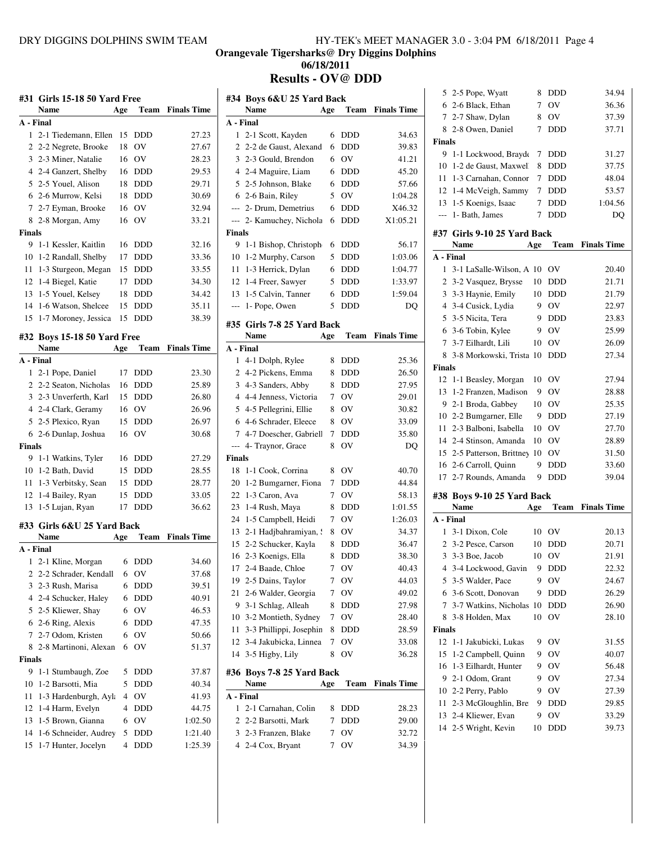**Orangevale Tigersharks@ Dry Diggins Dolphins**

**06/18/2011**

**Results - OV@ DDD**

|               | #31 Girls 15-18 50 Yard Free                 |                |                          |                         | Ħ |
|---------------|----------------------------------------------|----------------|--------------------------|-------------------------|---|
|               | Name                                         | Age            |                          | <b>Team</b> Finals Time |   |
| A - Final     |                                              |                |                          |                         | A |
| $\mathbf{1}$  | 2-1 Tiedemann, Ellen                         | 15             | <b>DDD</b>               | 27.23                   |   |
| 2             | 2-2 Negrete, Brooke                          | 18             | OV                       | 27.67                   |   |
|               | 3 2-3 Miner, Natalie                         | 16             | <b>OV</b>                | 28.23                   |   |
|               | 4 2-4 Ganzert, Shelby                        | 16             | <b>DDD</b>               | 29.53                   |   |
|               | 5 2-5 Youel, Alison                          | 18             | <b>DDD</b>               | 29.71                   |   |
|               | 6 2-6 Murrow, Kelsi                          | 18             | <b>DDD</b>               | 30.69                   |   |
|               | 7 2-7 Eyman, Brooke                          | 16             | <b>OV</b>                | 32.94                   |   |
| 8             | 2-8 Morgan, Amy                              | 16             | OV                       | 33.21                   |   |
| <b>Finals</b> |                                              |                |                          |                         | F |
|               | 9 1-1 Kessler, Kaitlin                       | 16             | <b>DDD</b>               | 32.16                   |   |
|               | 10 1-2 Randall, Shelby                       | 17             | <b>DDD</b>               | 33.36<br>33.55          |   |
|               | 11 1-3 Sturgeon, Megan                       | 17             | 15 DDD                   | 34.30                   |   |
|               | 12 1-4 Biegel, Katie<br>13 1-5 Youel, Kelsey |                | DDD                      | 34.42                   |   |
|               | 14 1-6 Watson, Shelcee                       | 18<br>15       | DDD<br><b>DDD</b>        | 35.11                   |   |
|               | 15 1-7 Moroney, Jessica                      | 15             | <b>DDD</b>               | 38.39                   |   |
|               |                                              |                |                          |                         | Ħ |
|               | #32 Boys 15-18 50 Yard Free                  |                |                          |                         |   |
|               | Name                                         | Age            | Team                     | <b>Finals Time</b>      | A |
|               | A - Final                                    |                |                          |                         |   |
| 1             | 2-1 Pope, Daniel<br>2 2-2 Seaton, Nicholas   | 17             | <b>DDD</b><br><b>DDD</b> | 23.30                   |   |
|               | 3 2-3 Unverferth, Karl                       | 16<br>15       |                          | 25.89<br>26.80          |   |
|               | 4 2-4 Clark, Geramy                          | 16             | DDD<br><b>OV</b>         | 26.96                   |   |
|               | 5 2-5 Plexico, Ryan                          | 15             | <b>DDD</b>               | 26.97                   |   |
|               | 6 2-6 Dunlap, Joshua                         | 16             | OV                       | 30.68                   |   |
| <b>Finals</b> |                                              |                |                          |                         |   |
|               | 9 1-1 Watkins, Tyler                         |                | 16 DDD                   | 27.29                   | F |
|               | 10 1-2 Bath, David                           | 15             | <b>DDD</b>               | 28.55                   |   |
| 11            | 1-3 Verbitsky, Sean                          | 15             | <b>DDD</b>               | 28.77                   |   |
| 12            | 1-4 Bailey, Ryan                             | 15             | <b>DDD</b>               | 33.05                   |   |
| 13            | 1-5 Lujan, Ryan                              | 17             | <b>DDD</b>               | 36.62                   |   |
|               | #33 Girls 6&U 25 Yard Back                   |                |                          |                         |   |
|               | <b>Name</b>                                  | Age            | Team                     | <b>Finals Time</b>      |   |
|               | A - Final                                    |                |                          |                         |   |
| 1             | 2-1 Kline, Morgan                            | 6              | <b>DDD</b>               | 34.60                   |   |
| 2             | 2-2 Schrader, Kendall                        | 6              | ov                       | 37.68                   |   |
| 3             | 2-3 Rush, Marisa                             | 6              | DDD                      | 39.51                   |   |
| 4             | 2-4 Schucker, Haley                          | 6              | <b>DDD</b>               | 40.91                   |   |
| 5             | 2-5 Kliewer, Shay                            | 6              | OV                       | 46.53                   |   |
| 6             | 2-6 Ring, Alexis                             | 6              | DDD                      | 47.35                   |   |
| $\tau$        | 2-7 Odom, Kristen                            | 6              | OV                       | 50.66                   |   |
| 8             | 2-8 Martinoni, Alexan                        | 6              | OV                       | 51.37                   |   |
| <b>Finals</b> |                                              |                |                          |                         |   |
| 9             | 1-1 Stumbaugh, Zoe                           | 5              | DDD                      | 37.87                   | Ħ |
| 10            | 1-2 Barsotti, Mia                            | 5              | DDD                      | 40.34                   |   |
| 11            | 1-3 Hardenburgh, Ayl:                        | $\overline{4}$ | OV                       | 41.93                   | A |
| 12            | 1-4 Harm, Evelyn                             | $\overline{4}$ | DDD                      | 44.75                   |   |
| 13            | 1-5 Brown, Gianna                            | 6              | OV                       | 1:02.50                 |   |
| 14            | 1-6 Schneider, Audrey                        | 5              | DDD                      | 1:21.40                 |   |
| 15            | 1-7 Hunter, Jocelyn                          | $\overline{4}$ | DDD                      | 1:25.39                 |   |

|                | #34  Boys 6&U 25 Yard Back            |        |             |                    |
|----------------|---------------------------------------|--------|-------------|--------------------|
|                | Name                                  | Age    | Team        | <b>Finals Time</b> |
| A - Final      |                                       |        |             |                    |
| 1              | 2-1 Scott, Kayden                     | 6      | <b>DDD</b>  | 34.63              |
| 2              | 2-2 de Gaust, Alexand                 | 6      | DDD         | 39.83              |
| 3              | 2-3 Gould, Brendon                    | 6      | OV          | 41.21              |
|                | 4 2-4 Maguire, Liam                   | 6      | DDD         | 45.20              |
|                | 5 2-5 Johnson, Blake                  | 6      | <b>DDD</b>  | 57.66              |
|                | 6 2-6 Bain, Riley                     |        | OV          |                    |
|                | --- 2- Drum, Demetrius                | 5      |             | 1:04.28            |
|                |                                       | 6      | <b>DDD</b>  | X46.32             |
| ---            | 2- Kamuchey, Nichola                  | 6      | <b>DDD</b>  | X1:05.21           |
| Finals         |                                       |        |             |                    |
| 9              | 1-1 Bishop, Christoph                 | 6      | <b>DDD</b>  | 56.17              |
| 10             | 1-2 Murphy, Carson                    | 5      | <b>DDD</b>  | 1:03.06            |
| 11             | 1-3 Herrick, Dylan                    | 6      | <b>DDD</b>  | 1:04.77            |
|                | 12 1-4 Freer, Sawyer                  | 5      | <b>DDD</b>  | 1:33.97            |
| 13             | 1-5 Calvin, Tanner                    | 6      | <b>DDD</b>  | 1:59.04            |
| ---            | 1- Pope, Owen                         | 5      | <b>DDD</b>  | DO                 |
| #35            | Girls 7-8 25 Yard Back                |        |             |                    |
|                | Name                                  | Age    | Team        | <b>Finals Time</b> |
| A - Final      |                                       |        |             |                    |
| 1              | 4-1 Dolph, Rylee                      | 8      | <b>DDD</b>  | 25.36              |
| 2              | 4-2 Pickens, Emma                     | 8      | DDD         | 26.50              |
| 3              | 4-3 Sanders, Abby                     | 8      | <b>DDD</b>  | 27.95              |
|                | 4 4-4 Jenness, Victoria               | 7      | <b>OV</b>   | 29.01              |
| 5              | 4-5 Pellegrini, Ellie                 | 8      | <b>OV</b>   | 30.82              |
| 6              | 4-6 Schrader, Eleece                  | 8      | ov          | 33.09              |
| $\tau$         | 4-7 Doescher, Gabriell                | 7      | DDD         | 35.80              |
| $\overline{a}$ |                                       | 8      | OV          |                    |
| Finals         | 4- Traynor, Grace                     |        |             | DQ                 |
|                |                                       |        |             |                    |
| 18             | 1-1 Cook, Corrina                     | 8      | ov          | 40.70              |
| 20             | 1-2 Bumgarner, Fiona                  | 7      | <b>DDD</b>  | 44.84              |
| 22             | 1-3 Caron, Ava                        | 7      | ov          | 58.13              |
| 23             | 1-4 Rush, Maya                        |        |             |                    |
|                |                                       | 8      | DDD         | 1:01.55            |
| 24             | 1-5 Campbell, Heidi                   | 7      | OV          | 1:26.03            |
| 13             | 2-1 Hadjbahramiyan, 9                 | 8      | OV          | 34.37              |
| 15             | 2-2 Schucker, Kayla                   | 8      | DDD         | 36.47              |
| 16             | 2-3 Koenigs, Ella                     | 8      | <b>DDD</b>  | 38.30              |
| 17             | 2-4 Baade, Chloe                      | 7      | ov          | 40.43              |
| 19             | 2-5 Dains, Taylor                     | 7      | ov          | 44.03              |
| 21             | 2-6 Walder, Georgia                   | 7      | ov          | 49.02              |
| 9              | 3-1 Schlag, Alleah                    | 8      | DDD         | 27.98              |
| 10             | 3-2 Montieth, Sydney                  | 7      | ov          | 28.40              |
| 11             | 3-3 Phillippi, Josephin               | 8      | DDD         | 28.59              |
| 12             | 3-4 Jakubicka, Linnea                 | 7      | OV          | 33.08              |
| 14             | 3-5 Higby, Lily                       | 8      | ov          | 36.28              |
|                |                                       |        |             |                    |
| #36            | Boys 7-8 25 Yard Back                 |        |             |                    |
|                | Name                                  | Age    | <b>Team</b> | <b>Finals Time</b> |
|                | A - Final                             |        |             |                    |
| 1              | 2-1 Carnahan, Colin                   | 8      | DDD         | 28.23              |
| 2              | 2-2 Barsotti, Mark                    | 7      | DDD         | 29.00              |
| 3<br>4         | 2-3 Franzen, Blake<br>2-4 Cox, Bryant | 7<br>7 | OV<br>OV    | 32.72<br>34.39     |

| 5              | 2-5 Pope, Wyatt             | 8   | <b>DDD</b>  | 34.94              |
|----------------|-----------------------------|-----|-------------|--------------------|
|                | 6 2-6 Black, Ethan          | 7   | OV          | 36.36              |
| 7              | 2-7 Shaw, Dylan             | 8   | OV          | 37.39              |
| 8              | 2-8 Owen, Daniel            | 7   | <b>DDD</b>  | 37.71              |
| <b>Finals</b>  |                             |     |             |                    |
| 9              | 1-1 Lockwood, Brayde        | 7   | DDD         | 31.27              |
| 10             | 1-2 de Gaust, Maxwell       | 8   | <b>DDD</b>  | 37.75              |
| 11             | 1-3 Carnahan, Connor        | 7   | <b>DDD</b>  | 48.04              |
|                | 12 1-4 McVeigh, Sammy       | 7   | <b>DDD</b>  | 53.57              |
|                | 13 1-5 Koenigs, Isaac       | 7   | DDD         | 1:04.56            |
| $---$          | 1- Bath, James              | 7   | <b>DDD</b>  | DQ                 |
|                |                             |     |             |                    |
|                | #37 Girls 9-10 25 Yard Back |     |             |                    |
|                | Name                        | Age | Team        | <b>Finals Time</b> |
| A - Final      |                             |     |             |                    |
| 1              | 3-1 LaSalle-Wilson, A       | 10  | OV          | 20.40              |
| 2              | 3-2 Vasquez, Brysse         | 10  | DDD         | 21.71              |
| 3              | 3-3 Haynie, Emily           | 10  | <b>DDD</b>  | 21.79              |
| 4              | 3-4 Cusick, Lydia           | 9   | OV          | 22.97              |
| 5              | 3-5 Nicita, Tera            | 9   | <b>DDD</b>  | 23.83              |
| 6              | 3-6 Tobin, Kylee            | 9   | OV          | 25.99              |
| 7              | 3-7 Eilhardt, Lili          | 10  | OV          | 26.09              |
| 8              | 3-8 Morkowski, Trista 10    |     | DDD         | 27.34              |
| <b>Finals</b>  |                             |     |             |                    |
| 12             | 1-1 Beasley, Morgan         | 10  | OV          | 27.94              |
| 13             | 1-2 Franzen, Madison        | 9   | OV          | 28.88              |
| 9.             | 2-1 Broda, Gabbey           | 10  | OV          | 25.35              |
|                | 10 2-2 Bumgarner, Elle      | 9   | DDD         | 27.19              |
|                |                             |     |             |                    |
| 11             | 2-3 Balboni, Isabella       | 10  | OV          | 27.70              |
|                | 14 2-4 Stinson, Amanda      | 10  | OV          | 28.89              |
|                | 15 2-5 Patterson, Brittney  | 10  | OV          | 31.50              |
|                | 16 2-6 Carroll, Quinn       | 9   | DDD         | 33.60              |
| 17             | 2-7 Rounds, Amanda          | 9   | <b>DDD</b>  | 39.04              |
|                |                             |     |             |                    |
|                | #38 Boys 9-10 25 Yard Back  |     |             |                    |
|                | Name                        | Age | <b>Team</b> | <b>Finals Time</b> |
| A - Final      |                             |     |             |                    |
| $\mathbf{1}$   | 3-1 Dixon, Cole             | 10  | OV          | 20.13              |
| $\overline{2}$ | 3-2 Pesce, Carson           | 10  | DDD         | 20.71              |
| 3              | 3-3 Boe, Jacob              | 10  | OV          | 21.91              |
| 4              | 3-4 Lockwood, Gavin         | 9   | DDD         | 22.32              |
| 5              | 3-5 Walder, Pace            | 9   | OV          | 24.67              |
| 6              | 3-6 Scott, Donovan          | 9   | DDD         | 26.29              |
| 7              | 3-7 Watkins, Nicholas       | 10  | DDD         | 26.90              |
| 8              | 3-8 Holden, Max             | 10  | OV          | 28.10              |
| <b>Finals</b>  |                             |     |             |                    |
| 12             | 1-1 Jakubicki, Lukas        | 9   | OV          | 31.55              |
| 15             | 1-2 Campbell, Quinn         | 9   | OV          | 40.07              |
| 16             | 1-3 Eilhardt, Hunter        | 9   | OV          | 56.48              |
| 9.             | 2-1 Odom, Grant             | 9   | OV          | 27.34              |
|                | 10 2-2 Perry, Pablo         | 9   | OV          | 27.39              |
| 11             | 2-3 McGloughlin, Bre        | 9   | DDD         | 29.85              |
|                | 13 2-4 Kliewer, Evan        | 9   | OV          | 33.29              |
|                | 14 2-5 Wright, Kevin        | 10  | DDD         | 39.73              |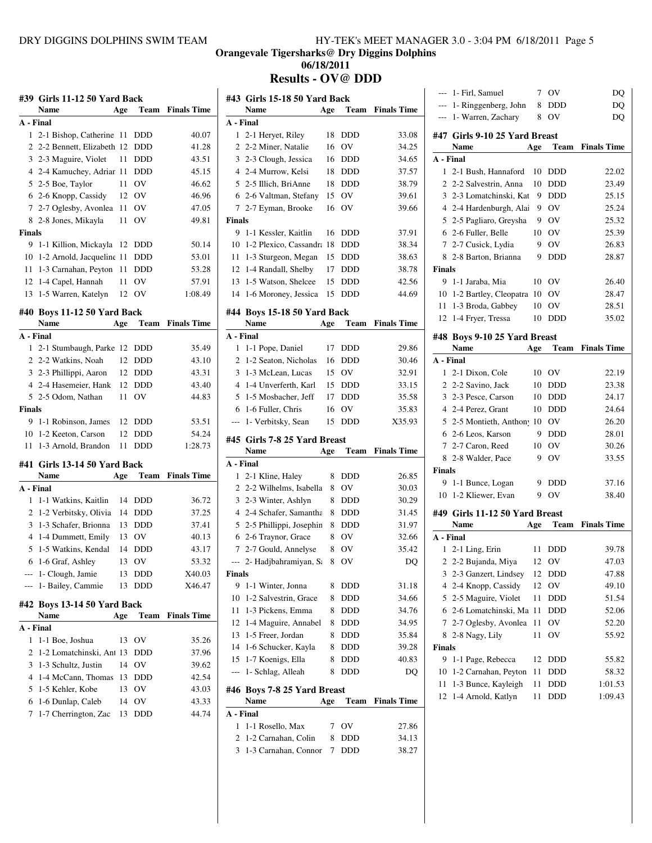**Orangevale Tigersharks@ Dry Diggins Dolphins**

**06/18/2011**

**Results - OV@ DDD**

|               | #39 Girls 11-12 50 Yard Back<br><b>Name</b> |     |            |                    |
|---------------|---------------------------------------------|-----|------------|--------------------|
|               |                                             | Age | Team       | <b>Finals Time</b> |
|               | A - Final                                   |     |            |                    |
|               | 1 2-1 Bishop, Catherine 11                  |     | DDD        | 40.07              |
|               | 2 2-2 Bennett, Elizabeth 12                 |     | DDD        | 41.28              |
|               | 3 2-3 Maguire, Violet                       | 11  | DDD        | 43.51              |
|               | 4 2-4 Kamuchey, Adriar 11                   |     | DDD        | 45.15              |
|               | 5 2-5 Boe, Taylor                           | 11  | OV         | 46.62              |
|               | 6 2-6 Knopp, Cassidy 12 OV                  |     |            | 46.96              |
|               | 7 2-7 Oglesby, Avonlea 11                   |     | OV         | 47.05              |
|               | 8 2-8 Jones, Mikayla                        | 11  | OV         | 49.81              |
| <b>Finals</b> |                                             |     |            |                    |
|               | 9 1-1 Killion, Mickayla                     | 12  | DDD        | 50.14              |
|               | 10 1-2 Arnold, Jacqueline 11                |     | <b>DDD</b> | 53.01              |
|               | 11 1-3 Carnahan, Peyton                     | 11  | <b>DDD</b> | 53.28              |
|               | 12 1-4 Capel, Hannah                        | 11  | OV         | 57.91              |
|               | 13 1-5 Warren, Katelyn                      | 12  | OV         | 1:08.49            |
|               |                                             |     |            |                    |
|               | #40 Boys 11-12 50 Yard Back                 |     |            | <b>Finals Time</b> |
|               | Name                                        | Age | Team       |                    |
|               | A - Final                                   |     |            |                    |
| $\mathbf{1}$  | 2-1 Stumbaugh, Parke 12                     |     | <b>DDD</b> | 35.49              |
|               | 2 2-2 Watkins, Noah                         | 12  | DDD        | 43.10              |
|               | 3 2-3 Phillippi, Aaron                      | 12  | DDD        | 43.31              |
|               | 4 2-4 Hasemeier, Hank                       | 12  | <b>DDD</b> | 43.40              |
|               | 5 2-5 Odom, Nathan                          | 11  | OV         | 44.83              |
| <b>Finals</b> |                                             |     |            |                    |
|               | 9 1-1 Robinson, James                       | 12  | <b>DDD</b> | 53.51              |
|               | 10 1-2 Keeton, Carson                       | 12  | <b>DDD</b> | 54.24              |
|               | 11 1-3 Arnold, Brandon                      | 11  | <b>DDD</b> | 1:28.73            |
|               | #41 Girls 13-14 50 Yard Back                |     |            |                    |
|               |                                             |     |            |                    |
|               | Name                                        | Age | Team       | <b>Finals Time</b> |
|               | A - Final                                   |     |            |                    |
| 1             | 1-1 Watkins, Kaitlin                        |     | 14 DDD     | 36.72              |
|               | 2 1-2 Verbitsky, Olivia                     | 14  | <b>DDD</b> | 37.25              |
|               | 3 1-3 Schafer, Brionna                      | 13  | <b>DDD</b> | 37.41              |
|               | 4 1-4 Dummett, Emily                        |     | 13 OV      | 40.13              |
|               | 5 1-5 Watkins, Kendal                       | 14  | <b>DDD</b> | 43.17              |
|               |                                             |     |            |                    |
|               | 6 1-6 Graf, Ashley                          |     | 13 OV      | 53.32              |
|               | --- 1- Clough, Jamie                        | 13  | DDD        | X40.03             |
| $---$         | 1- Bailey, Cammie                           | 13  | DDD        | X46.47             |
|               | #42 Boys 13-14 50 Yard Back                 |     |            |                    |
|               | Name                                        | Age | Team       | <b>Finals Time</b> |
|               | A - Final                                   |     |            |                    |
| 1             | 1-1 Boe, Joshua                             | 13  | OV         | 35.26              |
| 2             | 1-2 Lomatchinski, Ant 13                    |     | DDD        | 37.96              |
| 3             | 1-3 Schultz, Justin                         | 14  | OV         | 39.62              |
| 4             | 1-4 McCann, Thomas                          | 13  | DDD        | 42.54              |
| 5             | 1-5 Kehler, Kobe                            | 13  | OV         | 43.03              |
| 6             | 1-6 Dunlap, Caleb                           | 14  | OV         | 43.33              |

|                                                   | #43 Girls 15-18 50 Yard Back                |        |                          |                    |
|---------------------------------------------------|---------------------------------------------|--------|--------------------------|--------------------|
|                                                   | <b>Name</b>                                 | Age    | Team                     | <b>Finals Time</b> |
| A - Final                                         |                                             |        |                          |                    |
| 1                                                 | 2-1 Heryet, Riley                           | 18     | DDD                      | 33.08              |
| $\overline{2}$                                    | 2-2 Miner, Natalie                          | 16     | OV                       | 34.25              |
| 3                                                 | 2-3 Clough, Jessica                         | 16     | <b>DDD</b>               | 34.65              |
|                                                   | 4 2-4 Murrow, Kelsi                         | 18     | <b>DDD</b>               | 37.57              |
| 5                                                 | 2-5 Illich, BriAnne                         | 18     | <b>DDD</b>               | 38.79              |
|                                                   | 6 2-6 Valtman, Stefany                      | 15     | OV                       | 39.61              |
| 7                                                 | 2-7 Eyman, Brooke                           | 16     | OV                       | 39.66              |
| <b>Finals</b>                                     |                                             |        |                          |                    |
| 9                                                 | 1-1 Kessler, Kaitlin                        | 16     | <b>DDD</b>               | 37.91              |
| 10                                                | 1-2 Plexico, Cassandra 18                   |        | <b>DDD</b>               | 38.34              |
| 11                                                | 1-3 Sturgeon, Megan                         | 15     | <b>DDD</b>               | 38.63              |
| 12                                                | 1-4 Randall, Shelby                         | 17     | DDD                      | 38.78              |
| 13                                                | 1-5 Watson, Shelcee                         | 15     | DDD                      | 42.56              |
| 14                                                | 1-6 Moroney, Jessica                        | 15     | <b>DDD</b>               | 44.69              |
|                                                   | #44 Boys 15-18 50 Yard Back                 |        |                          |                    |
|                                                   | <b>Name</b>                                 | Age    | <b>Team</b>              | <b>Finals Time</b> |
|                                                   | A - Final                                   |        |                          |                    |
| 1                                                 | 1-1 Pope, Daniel                            | 17     | <b>DDD</b>               | 29.86              |
| 2                                                 | 1-2 Seaton, Nicholas                        | 16     | <b>DDD</b>               | 30.46              |
| 3                                                 | 1-3 McLean, Lucas                           | 15     | <b>OV</b>                | 32.91              |
| 4                                                 | 1-4 Unverferth, Karl                        | 15     | <b>DDD</b>               | 33.15              |
| 5                                                 | 1-5 Mosbacher, Jeff                         | 17     | <b>DDD</b>               | 35.58              |
|                                                   | 1-6 Fuller, Chris                           | 16     | OV                       | 35.83              |
|                                                   |                                             |        |                          |                    |
| 6<br>$---$                                        |                                             | 15     | <b>DDD</b>               | X35.93             |
|                                                   | 1- Verbitsky, Sean                          |        |                          |                    |
|                                                   | #45 Girls 7-8 25 Yard Breast                |        |                          |                    |
|                                                   | <b>Name</b>                                 | Age    | Team                     | <b>Finals Time</b> |
| 1                                                 |                                             | 8      |                          |                    |
| 2                                                 | 2-1 Kline, Haley                            | 8      | DDD                      | 26.85              |
| 3                                                 | 2-2 Wilhelms, Isabella                      | 8      | OV                       | 30.03              |
| 4                                                 | 2-3 Winter, Ashlyn                          |        | <b>DDD</b><br><b>DDD</b> | 30.29              |
|                                                   | 2-4 Schafer, Samantha                       | 8      |                          | 31.45              |
| 5                                                 | 2-5 Phillippi, Josephin                     | 8      | <b>DDD</b>               | 31.97              |
|                                                   | 6 2-6 Traynor, Grace                        | 8      | OV                       | 32.66              |
| $\tau$                                            | 2-7 Gould, Annelyse                         | 8      | OV                       | 35.42              |
|                                                   | --- 2- Hadjbahramiyan, Sa                   | 8      | OV                       | DQ                 |
|                                                   |                                             |        |                          |                    |
| 9                                                 | 1-1 Winter, Jonna                           | 8      | DDD                      | 31.18              |
| 10                                                | 1-2 Salvestrin, Grace                       | 8      | DDD                      | 34.66              |
| 11                                                | 1-3 Pickens, Emma                           | 8      | DDD                      | 34.76              |
| 12                                                | 1-4 Maguire, Annabel                        | 8      | <b>DDD</b>               | 34.95              |
| 13                                                | 1-5 Freer, Jordan                           | 8      | <b>DDD</b>               | 35.84              |
| 14                                                | 1-6 Schucker, Kayla                         | 8      | <b>DDD</b>               | 39.28              |
| 15                                                | 1-7 Koenigs, Ella                           | 8      | <b>DDD</b>               | 40.83              |
| ---                                               | 1- Schlag, Alleah                           | 8      | DDD                      | DO                 |
|                                                   | #46 Boys 7-8 25 Yard Breast                 |        |                          |                    |
|                                                   | <b>Name</b>                                 | Age    | Team                     | <b>Finals Time</b> |
|                                                   |                                             |        |                          |                    |
| 1                                                 | 1-1 Rosello, Max                            | 7      | ov                       | 27.86              |
| A - Final<br><b>Finals</b><br>A - Final<br>2<br>3 | 1-2 Carnahan, Colin<br>1-3 Carnahan, Connor | 8<br>7 | DDD<br>DDD               | 34.13<br>38.27     |

|               | 1- Firl, Samuel                        | 7   | OV          | DQ                 |
|---------------|----------------------------------------|-----|-------------|--------------------|
|               | --- 1- Ringgenberg, John               | 8   | DDD         | DO                 |
| $---$         | 1- Warren, Zachary                     | 8   | OV          | DQ                 |
|               | #47 Girls 9-10 25 Yard Breast          |     |             |                    |
|               | Name                                   | Age | <b>Team</b> | <b>Finals Time</b> |
| A - Final     |                                        |     |             |                    |
|               | 1 2-1 Bush, Hannaford                  | 10  | <b>DDD</b>  | 22.02              |
|               | 2 2-2 Salvestrin, Anna                 | 10  | DDD         | 23.49              |
|               | 3 2-3 Lomatchinski, Kat                | 9   | DDD         | 25.15              |
|               | 4 2-4 Hardenburgh, Alai                | 9   | OV          | 25.24              |
|               | 5 2-5 Pagliaro, Greysha                | 9   | OV          | 25.32              |
| 6             | 2-6 Fuller, Belle                      | 10  | OV          | 25.39              |
|               | 7 2-7 Cusick, Lydia                    | 9   | OV          | 26.83              |
| 8             | 2-8 Barton, Brianna                    | 9   | <b>DDD</b>  | 28.87              |
| <b>Finals</b> |                                        |     |             |                    |
| 9             | 1-1 Jaraba, Mia                        | 10  | OV          | 26.40              |
|               | 10 1-2 Bartley, Cleopatra 10 OV        |     |             | 28.47              |
|               | 11 1-3 Broda, Gabbey                   | 10  | OV          | 28.51              |
| 12            | 1-4 Fryer, Tressa                      | 10  | DDD         | 35.02              |
|               |                                        |     |             |                    |
|               | #48 Boys 9-10 25 Yard Breast           |     |             |                    |
|               | <b>Name</b>                            | Age | Team        | <b>Finals Time</b> |
|               | A - Final                              |     |             |                    |
|               | 1 2-1 Dixon, Cole                      | 10  | <b>OV</b>   | 22.19              |
|               | 2 2-2 Savino, Jack                     | 10  | DDD         | 23.38              |
|               | 3 2-3 Pesce, Carson                    | 10  | <b>DDD</b>  | 24.17              |
|               | 4 2-4 Perez, Grant                     | 10  | <b>DDD</b>  | 24.64              |
|               | 5 2-5 Montieth, Anthon <sup>1</sup> 10 |     | OV          | 26.20              |
|               | 6 2-6 Leos, Karson                     | 9   | DDD         | 28.01              |
|               | 7 2-7 Caron, Reed                      | 10  | OV          | 30.26              |
| 8             | 2-8 Walder, Pace                       | 9   | OV          | 33.55              |
| <b>Finals</b> |                                        |     |             |                    |
| 9             | 1-1 Bunce, Logan                       | 9   | DDD         | 37.16              |
| 10            | 1-2 Kliewer, Evan                      | 9   | OV          | 38.40              |
|               | #49 Girls 11-12 50 Yard Breast         |     |             |                    |
|               | Name                                   | Age | Team        | <b>Finals Time</b> |
|               | A - Final                              |     |             |                    |
|               | 1 2-1 Ling, Erin                       | 11  | DDD         | 39.78              |
|               | 2 2-2 Bujanda, Miya                    | 12  | OV          | 47.03              |
| 3             | 2-3 Ganzert, Lindsey                   | 12  | DDD         | 47.88              |
| 4             | 2-4 Knopp, Cassidy                     | 12  | OV          | 49.10              |
| 5             | 2-5 Maguire, Violet                    | 11  | DDD         | 51.54              |
| 6             | 2-6 Lomatchinski, Ma                   | 11  | DDD         | 52.06              |
| 7             | 2-7 Oglesby, Avonlea                   | 11  | OV          | 52.20              |
| 8             | 2-8 Nagy, Lily                         | 11  | ov          | 55.92              |
| <b>Finals</b> |                                        |     |             |                    |
| 9             | 1-1 Page, Rebecca                      | 12  | DDD         | 55.82              |
| 10            | 1-2 Carnahan, Peyton                   | 11  | DDD         | 58.32              |
| 11            | 1-3 Bunce, Kayleigh                    | 11  | DDD         | 1:01.53            |
| 12            |                                        |     |             |                    |
|               | 1-4 Arnold, Katlyn                     | 11  | DDD         | 1:09.43            |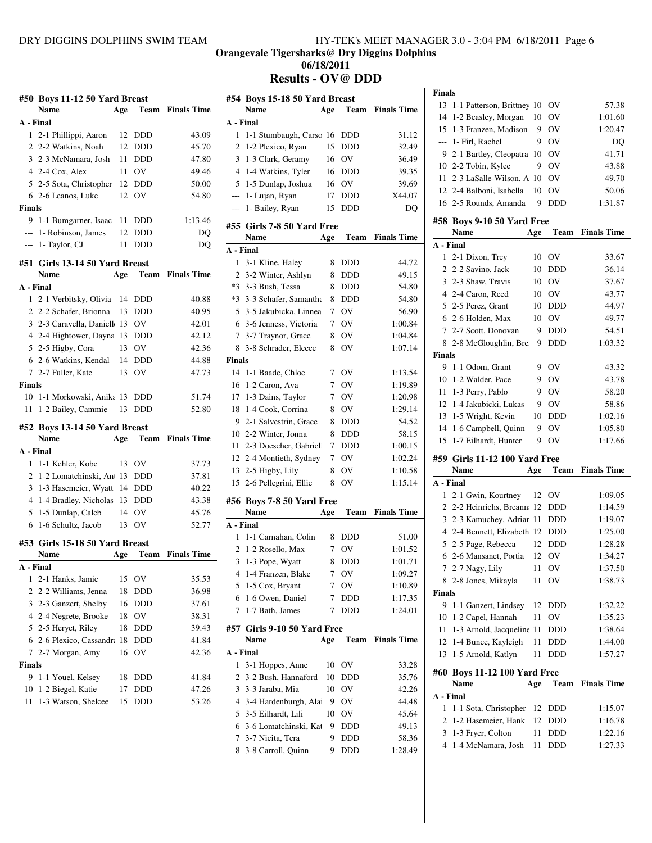**Orangevale Tigersharks@ Dry Diggins Dolphins**

**06/18/2011**

**Results - OV@ DDD**

|                | #50 Boys 11-12 50 Yard Breast            |          |            |                    |
|----------------|------------------------------------------|----------|------------|--------------------|
|                | Name                                     | Age      | Team       | <b>Finals Time</b> |
| A - Final      |                                          |          |            |                    |
| 1.             | 2-1 Phillippi, Aaron                     | 12       | DDD        | 43.09              |
| 2              | 2-2 Watkins, Noah                        | 12       | DDD        | 45.70              |
| 3              | 2-3 McNamara, Josh                       | 11       | <b>DDD</b> | 47.80              |
|                | 4 2-4 Cox, Alex                          | 11 -     | OV         | 49.46              |
| 5              | 2-5 Sota, Christopher                    | 12       | <b>DDD</b> | 50.00              |
| 6              | 2-6 Leanos, Luke                         | 12       | OV         | 54.80              |
| <b>Finals</b>  |                                          |          |            |                    |
| 9              | 1-1 Bumgarner, Isaac                     | 11       | <b>DDD</b> | 1:13.46            |
|                | --- 1- Robinson, James                   | 12       | <b>DDD</b> | DO                 |
| ---            | 1- Taylor, CJ                            | 11       | <b>DDD</b> | DQ                 |
|                | #51 Girls 13-14 50 Yard Breast           |          |            |                    |
|                | Name                                     | Age      | Team       | <b>Finals Time</b> |
| A - Final      |                                          |          |            |                    |
| $\mathbf{1}$   | 2-1 Verbitsky, Olivia                    | 14       | DDD        | 40.88              |
|                | 2 2-2 Schafer, Brionna                   | 13       | <b>DDD</b> | 40.95              |
| 3              | 2-3 Caravella, Daniell 13                |          | OV         | 42.01              |
| $\overline{4}$ | 2-4 Hightower, Dayna                     | 13       | DDD        | 42.12              |
| 5              | 2-5 Higby, Cora                          | 13       | OV         | 42.36              |
|                | 6 2-6 Watkins, Kendal                    | 14       | <b>DDD</b> | 44.88              |
|                | 7 2-7 Fuller, Kate                       | 13       | OV         | 47.73              |
| <b>Finals</b>  |                                          |          |            |                    |
|                | 10 1-1 Morkowski, Anika                  | 13       | DDD        | 51.74              |
| 11             | 1-2 Bailey, Cammie                       | 13       | <b>DDD</b> | 52.80              |
|                | #52 Boys 13-14 50 Yard Breast            |          |            |                    |
|                | Name                                     | Age      | Team       | <b>Finals Time</b> |
|                |                                          |          |            |                    |
| A - Final      |                                          |          |            |                    |
| 1              | 1-1 Kehler, Kobe                         | 13       | ov         | 37.73              |
| $\overline{2}$ | 1-2 Lomatchinski, Ant 13                 |          | DDD        | 37.81              |
| 3              | 1-3 Hasemeier, Wyatt                     | 14       | <b>DDD</b> | 40.22              |
| $\overline{4}$ |                                          | 13       | DDD        | 43.38              |
| 5              | 1-4 Bradley, Nicholas                    | 14       | OV         | 45.76              |
| 6              | 1-5 Dunlap, Caleb<br>1-6 Schultz, Jacob  | 13       | OV         | 52.77              |
|                |                                          |          |            |                    |
|                | #53 Girls 15-18 50 Yard Breast           |          |            |                    |
|                | Name                                     | Age      | Team       | <b>Finals Time</b> |
| A - Final      |                                          |          |            |                    |
| $\mathbf{1}$   | 2-1 Hanks, Jamie                         | 15       | OV         | 35.53              |
| $\overline{2}$ | 2-2 Williams, Jenna                      | 18       | DDD        | 36.98              |
| 3              | 2-3 Ganzert, Shelby                      | 16       | <b>DDD</b> | 37.61              |
| 4              | 2-4 Negrete, Brooke                      | 18       | OV         | 38.31              |
| 5              | 2-5 Heryet, Riley                        | 18       | DDD        | 39.43              |
| 6              | 2-6 Plexico, Cassandra                   | 18       | <b>DDD</b> | 41.84              |
| 7              | 2-7 Morgan, Amy                          | 16       | OV         | 42.36              |
| <b>Finals</b>  |                                          |          |            |                    |
| 9              | 1-1 Youel, Kelsey                        | 18       | DDD        | 41.84              |
| 10<br>11       | 1-2 Biegel, Katie<br>1-3 Watson, Shelcee | 17<br>15 | DDD<br>DDD | 47.26<br>53.26     |

|                | #54 Boys 15-18 50 Yard Breast              |        |                |                    |
|----------------|--------------------------------------------|--------|----------------|--------------------|
|                | Name                                       | Age    | Team           | <b>Finals Time</b> |
| A - Final      |                                            |        |                |                    |
| 1              | 1-1 Stumbaugh, Carso                       | 16     | DDD            | 31.12              |
| $\overline{c}$ | 1-2 Plexico, Ryan                          | 15     | <b>DDD</b>     | 32.49              |
| 3              | 1-3 Clark, Geramy                          | 16     | OV             | 36.49              |
| $\overline{4}$ | 1-4 Watkins, Tyler                         | 16     | DDD            | 39.35              |
| 5              | 1-5 Dunlap, Joshua                         | 16     | OV             | 39.69              |
| ---            | 1- Lujan, Ryan                             | 17     | DDD            | X44.07             |
| ---            | 1- Bailey, Ryan                            | 15     | <b>DDD</b>     | DQ                 |
|                |                                            |        |                |                    |
| #55            | Girls 7-8 50 Yard Free<br>Name             |        | <b>Team</b>    | <b>Finals Time</b> |
| A - Final      |                                            | Age    |                |                    |
| 1              | 3-1 Kline, Haley                           | 8      | DDD            | 44.72              |
| $\overline{c}$ | 3-2 Winter, Ashlyn                         | 8      | DDD            | 49.15              |
| $*3$           | 3-3 Bush, Tessa                            | 8      | <b>DDD</b>     | 54.80              |
| $*3$           | 3-3 Schafer, Samantha                      | 8      | <b>DDD</b>     | 54.80              |
| 5              | 3-5 Jakubicka, Linnea                      | 7      | O <sub>V</sub> | 56.90              |
| 6              | 3-6 Jenness, Victoria                      | 7      | OV             | 1:00.84            |
| 7              |                                            | 8      | OV             | 1:04.84            |
| 8              | 3-7 Traynor, Grace<br>3-8 Schrader, Eleece | 8      | OV             | 1:07.14            |
| <b>Finals</b>  |                                            |        |                |                    |
| 14             |                                            |        |                |                    |
|                | 1-1 Baade, Chloe                           | 7<br>7 | OV             | 1:13.54            |
| 16<br>17       | 1-2 Caron, Ava                             |        | OV<br>OV       | 1:19.89            |
|                | 1-3 Dains, Taylor                          | 7      |                | 1:20.98            |
| 18             | 1-4 Cook, Corrina                          | 8      | OV             | 1:29.14            |
| 9              | 2-1 Salvestrin, Grace                      | 8      | DDD            | 54.52              |
| 10             | 2-2 Winter, Jonna                          | 8      | <b>DDD</b>     | 58.15              |
| 11             | 2-3 Doescher, Gabriell                     | 7      | <b>DDD</b>     | 1:00.15            |
| 12             | 2-4 Montieth, Sydney                       | 7      | OV             | 1:02.24            |
| 13             | 2-5 Higby, Lily                            | 8      | OV             | 1:10.58            |
| 15             | 2-6 Pellegrini, Ellie                      | 8      | OV             | 1:15.14            |
|                | #56 Boys 7-8 50 Yard Free                  |        |                |                    |
|                | Name                                       | Age    | Team           | <b>Finals Time</b> |
| A - Final      |                                            |        |                |                    |
| 1              | 1-1 Carnahan, Colin                        | 8      | DDD            | 51.00              |
| $\overline{c}$ | 1-2 Rosello, Max                           | 7      | OV             | 1:01.52            |
| 3              | 1-3 Pope, Wyatt                            | 8      | <b>DDD</b>     | 1:01.71            |
| 4              | 1-4 Franzen, Blake                         | 7      | ov             | 1:09.27            |
| 5              | 1-5 Cox, Bryant                            | 7      | ov             | 1:10.89            |
| 6              | 1-6 Owen, Daniel                           | 7      | DDD            | 1:17.35            |
| 7              | 1-7 Bath, James                            | 7      | DDD            | 1:24.01            |
|                |                                            |        |                |                    |
| #57            | Girls 9-10 50 Yard Free<br>Name            | Age    | Team           | <b>Finals Time</b> |
| A - Final      |                                            |        |                |                    |
| 1              | 3-1 Hoppes, Anne                           | 10     | ov             | 33.28              |
| 2              | 3-2 Bush, Hannaford                        | 10     | DDD            | 35.76              |
| 3              | 3-3 Jaraba, Mia                            | 10     | ov             | 42.26              |
| 4              | 3-4 Hardenburgh, Alai                      | 9      | ov             | 44.48              |
| 5              | 3-5 Eilhardt, Lili                         | 10     | ov             | 45.64              |
| 6              | 3-6 Lomatchinski, Kat                      | 9      | DDD            | 49.13              |
| 7              | 3-7 Nicita, Tera                           | 9      | DDD            | 58.36              |
| 8              | 3-8 Carroll, Quinn                         | 9      | DDD            | 1:28.49            |
|                |                                            |        |                |                    |

| <b>Finals</b> |                                  |    |      |         |
|---------------|----------------------------------|----|------|---------|
|               | 13 1-1 Patterson, Brittney 10 OV |    |      | 57.38   |
|               | 14 1-2 Beasley, Morgan 10 OV     |    |      | 1:01.60 |
|               | 15 1-3 Franzen, Madison          |    | 9 OV | 1:20.47 |
|               | --- 1- Firl, Rachel              | 9  | OV   | DO      |
|               | 9 2-1 Bartley, Cleopatra 10 OV   |    |      | 41.71   |
|               | 10 2-2 Tobin, Kylee              |    | 9 OV | 43.88   |
|               | 11 2-3 LaSalle-Wilson, A 10 OV   |    |      | 49.70   |
|               | 12 2-4 Balboni, Isabella 10 OV   |    |      | 50.06   |
|               | 16 2-5 Rounds, Amanda            | 9. | DDD  | 1:31.87 |
|               |                                  |    |      |         |

|                    | #58 Boys 9-10 50 Yard Free              |          |                   |                    |
|--------------------|-----------------------------------------|----------|-------------------|--------------------|
|                    | <b>Name</b>                             | Age      | Team              | <b>Finals Time</b> |
| A - Final          |                                         |          |                   |                    |
| 1                  | 2-1 Dixon, Trey                         | 10       | OV                | 33.67              |
| $\overline{c}$     | 2-2 Savino, Jack                        | 10       | DDD               | 36.14              |
| $\overline{3}$     | 2-3 Shaw, Travis                        | 10       | OV                | 37.67              |
|                    | 4 2-4 Caron, Reed                       | 10       | OV                | 43.77              |
| 5                  | 2-5 Perez, Grant                        | 10       | <b>DDD</b>        | 44.97              |
|                    | 6 2-6 Holden, Max                       | 10       | OV                | 49.77              |
| $\tau$             | 2-7 Scott, Donovan                      | 9        | <b>DDD</b>        | 54.51              |
| 8                  | 2-8 McGloughlin, Bre                    | 9        | <b>DDD</b>        | 1:03.32            |
| <b>Finals</b>      |                                         |          |                   |                    |
| 9                  | 1-1 Odom, Grant                         | 9        | OV                | 43.32              |
| 10                 | 1-2 Walder, Pace                        | 9        | OV                | 43.78              |
| 11                 | 1-3 Perry, Pablo                        | 9        | OV                | 58.20              |
| 12                 | 1-4 Jakubicki, Lukas                    | 9        | OV                | 58.86              |
| 13                 | 1-5 Wright, Kevin                       | 10       | DDD               | 1:02.16            |
| 14                 | 1-6 Campbell, Quinn                     | 9        | OV                | 1:05.80            |
| 15                 | 1-7 Eilhardt, Hunter                    | 9        | OV                | 1:17.66            |
|                    | #59 Girls 11-12 100 Yard Free           |          |                   |                    |
|                    | Name                                    | Age      | <b>Team</b>       | <b>Finals Time</b> |
| A - Final          |                                         |          |                   |                    |
|                    | 2-1 Gwin, Kourtney                      | 12       | OV                |                    |
|                    |                                         |          |                   |                    |
| 1                  |                                         |          |                   | 1:09.05            |
| $\overline{2}$     | 2-2 Heinrichs, Breann                   | 12       | DDD               | 1:14.59            |
|                    | 3 2-3 Kamuchey, Adriar                  | 11       | <b>DDD</b>        | 1:19.07            |
| 4                  | 2-4 Bennett, Elizabeth                  | 12       | <b>DDD</b>        | 1:25.00            |
| 5                  | 2-5 Page, Rebecca                       | 12       | DDD               | 1:28.28            |
| 6                  | 2-6 Mansanet, Portia                    | 12       | OV                | 1:34.27            |
| 7<br>8             | 2-7 Nagy, Lily                          | 11       | OV                | 1:37.50            |
|                    | 2-8 Jones, Mikayla                      | 11       | OV                | 1:38.73            |
| <b>Finals</b><br>9 |                                         |          |                   |                    |
|                    | 1-1 Ganzert, Lindsey                    | 12       | DDD               | 1:32.22            |
| 10<br>11           | 1-2 Capel, Hannah                       | 11       | OV                | 1:35.23            |
| 12                 | 1-3 Arnold, Jacqueline 11               |          | DDD<br><b>DDD</b> | 1:38.64            |
| 13                 | 1-4 Bunce, Kayleigh                     | 11<br>11 | <b>DDD</b>        | 1:44.00            |
|                    | 1-5 Arnold, Katlyn                      |          |                   | 1:57.27            |
| #60                | <b>Boys 11-12 100 Yard Free</b>         |          |                   |                    |
|                    | Name                                    | Age      | <b>Team</b>       | <b>Finals Time</b> |
| A - Final          |                                         |          |                   |                    |
| 1                  | 1-1 Sota, Christopher                   | 12       | DDD               | 1:15.07            |
| 2                  | 1-2 Hasemeier, Hank                     | 12       | DDD               | 1:16.78            |
| 3<br>4             | 1-3 Fryer, Colton<br>1-4 McNamara, Josh | 11<br>11 | DDD<br><b>DDD</b> | 1:22.16<br>1:27.33 |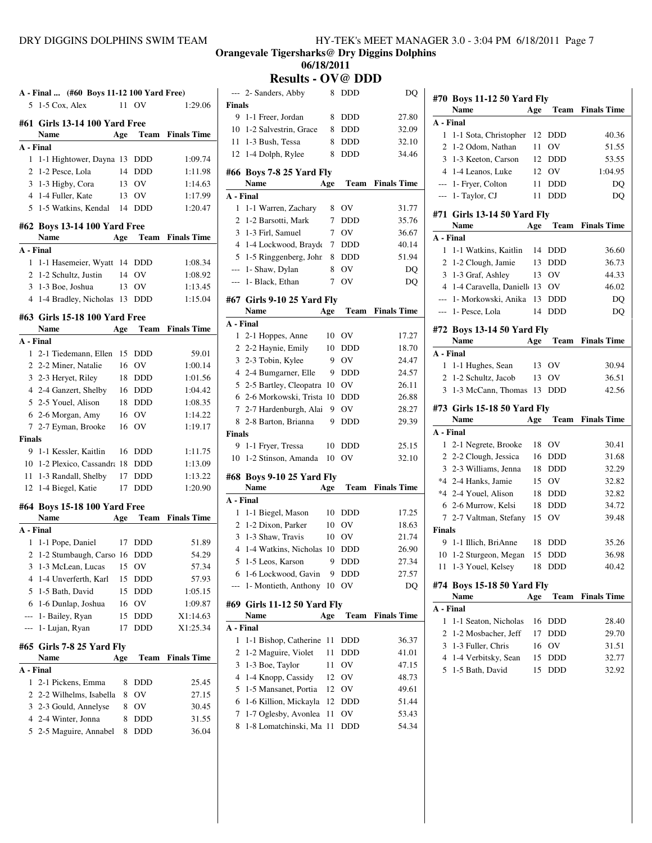#### **Orangevale Tigersharks@ Dry Diggins Dolphins 06/18/2011**

**Results - OV@ DDD**<br>ders Abby 8 DDD

|                | A - Final  (#60 Boys 11-12 100 Yard Free)   |      |            |                         |  |
|----------------|---------------------------------------------|------|------------|-------------------------|--|
| 5              | 1-5 Cox, Alex                               |      | 11 OV      | 1:29.06                 |  |
|                | #61 Girls 13-14 100 Yard Free               |      |            |                         |  |
|                | Name                                        | Age  | Team       | <b>Finals Time</b>      |  |
| A - Final      |                                             |      |            |                         |  |
|                | 1 1-1 Hightower, Dayna 13                   |      | <b>DDD</b> | 1:09.74                 |  |
|                | 2 1-2 Pesce, Lola                           | 14   | <b>DDD</b> | 1:11.98                 |  |
|                | 3 1-3 Higby, Cora                           |      | 13 OV      | 1:14.63                 |  |
|                | 4 1-4 Fuller, Kate                          |      | 13 OV      | 1:17.99                 |  |
|                | 5 1-5 Watkins, Kendal                       | - 14 | <b>DDD</b> | 1:20.47                 |  |
|                |                                             |      |            |                         |  |
|                | #62 Boys 13-14 100 Yard Free<br><b>Name</b> |      |            | <b>Team</b> Finals Time |  |
|                | A - Final                                   | Age  |            |                         |  |
|                | 1 1-1 Hasemeier, Wyatt 14                   |      | DDD        | 1:08.34                 |  |
|                | 2 1-2 Schultz, Justin                       | 14   | <b>OV</b>  | 1:08.92                 |  |
|                | 3 1-3 Boe, Joshua                           |      | 13 OV      | 1:13.45                 |  |
|                | 4 1-4 Bradley, Nicholas 13                  |      | <b>DDD</b> | 1:15.04                 |  |
|                |                                             |      |            |                         |  |
|                | #63 Girls 15-18 100 Yard Free               |      |            |                         |  |
|                | Name                                        | Age  | Team       | <b>Finals Time</b>      |  |
|                | A - Final                                   |      |            |                         |  |
|                | 1 2-1 Tiedemann, Ellen                      | 15   | DDD        | 59.01                   |  |
|                | 2 2-2 Miner, Natalie                        | 16   | OV         | 1:00.14                 |  |
|                | 3 2-3 Heryet, Riley                         |      | 18 DDD     | 1:01.56                 |  |
|                | 4 2-4 Ganzert, Shelby                       | 16   | <b>DDD</b> | 1:04.42                 |  |
|                | 5 2-5 Youel, Alison                         | 18   | <b>DDD</b> | 1:08.35                 |  |
|                | 6 2-6 Morgan, Amy                           |      | 16 OV      | 1:14.22                 |  |
|                | 7 2-7 Eyman, Brooke                         | 16   | OV         | 1:19.17                 |  |
| <b>Finals</b>  |                                             |      |            |                         |  |
|                | 9 1-1 Kessler, Kaitlin                      | 16   | DDD.       | 1:11.75                 |  |
|                | 10 1-2 Plexico, Cassandra 18                |      | DDD        | 1:13.09                 |  |
|                | 11 1-3 Randall, Shelby                      | 17   | <b>DDD</b> | 1:13.22                 |  |
|                | 12 1-4 Biegel, Katie                        | 17   | <b>DDD</b> | 1:20.90                 |  |
|                | #64 Boys 15-18 100 Yard Free                |      |            |                         |  |
|                | Name                                        | Age  | Team       | <b>Finals Time</b>      |  |
| A - Final      |                                             |      |            |                         |  |
| 1              | 1-1 Pope, Daniel                            | 17   | DDD        | 51.89                   |  |
| $\mathbf{2}$   | 1-2 Stumbaugh, Carso 16                     |      | DDD        | 54.29                   |  |
| 3              | 1-3 McLean, Lucas                           | 15   | OV         | 57.34                   |  |
| 4              | 1-4 Unverferth, Karl                        | 15   | DDD        | 57.93                   |  |
| 5              | 1-5 Bath, David                             | 15   | DDD        | 1:05.15                 |  |
| 6              | 1-6 Dunlap, Joshua                          | 16   | OV         | 1:09.87                 |  |
| ---            | 1- Bailey, Ryan                             | 15   | <b>DDD</b> | X1:14.63                |  |
| $\overline{a}$ | 1- Lujan, Ryan                              | 17   | DDD        | X1:25.34                |  |
|                |                                             |      |            |                         |  |
|                | #65 Girls 7-8 25 Yard Fly                   |      |            |                         |  |
|                | <b>Name</b>                                 | Age  | Team       | <b>Finals Time</b>      |  |
| A - Final      |                                             |      |            |                         |  |
| 1              | 2-1 Pickens, Emma                           | 8    | DDD        | 25.45                   |  |
| 2              | 2-2 Wilhelms, Isabella                      | 8    | OV         | 27.15                   |  |
| 3              | 2-3 Gould, Annelyse                         | 8    | OV         | 30.45                   |  |
|                | 4 2-4 Winter, Jonna                         | 8    | DDD        | 31.55                   |  |
| 5              | 2-5 Maguire, Annabel                        | 8    | DDD        | 36.04                   |  |
|                |                                             |      |            |                         |  |

|              | --- 2- Sanders, Abby           | 8   | DDD                    | DQ                      |
|--------------|--------------------------------|-----|------------------------|-------------------------|
| Finals       |                                |     |                        |                         |
| 9            | 1-1 Freer, Jordan              | 8   | DDD                    | 27.80                   |
| 10           | 1-2 Salvestrin, Grace          | 8   | <b>DDD</b>             | 32.09                   |
|              | 11 1-3 Bush, Tessa             | 8   | <b>DDD</b>             | 32.10                   |
|              | 12 1-4 Dolph, Rylee            | 8   | DDD                    | 34.46                   |
|              |                                |     |                        |                         |
|              | #66  Boys 7-8 25 Yard Fly      |     |                        |                         |
|              | Name                           | Age |                        | <b>Team</b> Finals Time |
| A - Final    |                                |     |                        |                         |
| 1            | 1-1 Warren, Zachary            | 8   | <b>OV</b>              | 31.77                   |
|              | 2 1-2 Barsotti, Mark           | 7   | <b>DDD</b>             | 35.76                   |
|              | 3 1-3 Firl, Samuel             | 7   | <b>OV</b>              | 36.67                   |
|              | 4 1-4 Lockwood, Brayde         | 7   | <b>DDD</b>             | 40.14                   |
| 5            | 1-5 Ringgenberg, John          | 8   | <b>DDD</b>             | 51.94                   |
|              | --- 1- Shaw, Dylan             | 8   | OV                     | <b>DQ</b>               |
|              | --- 1- Black, Ethan            | 7   | OV                     | DQ                      |
|              | #67 Girls 9-10 25 Yard Fly     |     |                        |                         |
|              | Name                           | Age |                        | <b>Team</b> Finals Time |
| A - Final    |                                |     |                        |                         |
| $\mathbf{1}$ | 2-1 Hoppes, Anne               |     | 10 OV                  | 17.27                   |
|              | 2 2-2 Haynie, Emily            | 10  | <b>DDD</b>             | 18.70                   |
|              | 3 2-3 Tobin, Kylee             | 9   | ov                     | 24.47                   |
|              | 4 2-4 Bumgarner, Elle          | 9   | <b>DDD</b>             | 24.57                   |
|              | 5 2-5 Bartley, Cleopatra       | 10  | <b>OV</b>              | 26.11                   |
| 6            | 2-6 Morkowski, Trista 10       |     | DDD                    | 26.88                   |
|              | 7 2-7 Hardenburgh, Alai        | 9   | $\overline{\text{OV}}$ | 28.27                   |
| 8            | 2-8 Barton, Brianna            | 9   | <b>DDD</b>             | 29.39                   |
| Finals       |                                |     |                        |                         |
| 9            | 1-1 Fryer, Tressa              | 10  | <b>DDD</b>             | 25.15                   |
|              | 10 1-2 Stinson, Amanda         | 10  | OV                     | 32.10                   |
|              |                                |     |                        |                         |
|              | #68 Boys 9-10 25 Yard Fly      |     |                        |                         |
|              | Name                           | Age | Team                   | <b>Finals Time</b>      |
| A - Final    |                                |     |                        |                         |
| 1            | 1-1 Biegel, Mason              |     | 10 DDD                 | 17.25                   |
|              | 2 1-2 Dixon, Parker            |     | 10 OV                  | 18.63                   |
|              | 3 1-3 Shaw, Travis             |     | 10 OV                  | 21.74                   |
|              | 4 1-4 Watkins, Nicholas 10 DDD |     |                        | 26.90                   |
|              | 5 1-5 Leos, Karson             |     | 9 DDD                  | 27.34                   |
| 6            | 1-6 Lockwood, Gavin            | 9   | DDD                    | 27.57                   |
| ---          | 1- Montieth, Anthony           | 10  | OV                     | DQ                      |
|              | #69 Girls 11-12 50 Yard Fly    |     |                        |                         |
|              | Name                           | Age | Team                   | <b>Finals Time</b>      |
| A - Final    |                                |     |                        |                         |
| 1            | 1-1 Bishop, Catherine          | 11  | DDD                    | 36.37                   |
| 2            | 1-2 Maguire, Violet            | 11  | DDD                    | 41.01                   |
| 3            | 1-3 Boe, Taylor                | 11  | ov                     | 47.15                   |
| 4            |                                |     | ov                     | 48.73                   |
| 5            |                                |     |                        |                         |
|              | 1-4 Knopp, Cassidy             | 12  |                        |                         |
|              | 1-5 Mansanet, Portia           | 12  | ov                     | 49.61                   |
| 6            | 1-6 Killion, Mickayla          | 12  | DDD                    | 51.44                   |
| 7            | 1-7 Oglesby, Avonlea           | 11  | ov                     | 53.43                   |
| 8            | 1-8 Lomatchinski, Ma 11        |     | DDD                    | 54.34                   |
|              |                                |     |                        |                         |

|                | #70 Boys 11-12 50 Yard Fly                |     |            |                    |
|----------------|-------------------------------------------|-----|------------|--------------------|
|                | <b>Name</b>                               | Age | Team       | <b>Finals Time</b> |
| A - Final      |                                           |     |            |                    |
| 1              | 1-1 Sota, Christopher                     | 12  | DDD        | 40.36              |
| 2              | 1-2 Odom, Nathan                          | 11  | OV         | 51.55              |
| 3              | 1-3 Keeton, Carson                        | 12  | DDD        | 53.55              |
| 4              | 1-4 Leanos, Luke                          | 12  | OV         | 1:04.95            |
| $---$          | 1- Fryer, Colton                          | 11  | DDD        | DQ                 |
| $---$          | 1- Taylor, CJ                             | 11  | <b>DDD</b> | DQ                 |
|                | #71 Girls 13-14 50 Yard Fly               |     |            |                    |
|                | Name                                      | Age | Team       | <b>Finals Time</b> |
| A - Final      |                                           |     |            |                    |
| 1              | 1-1 Watkins, Kaitlin                      | 14  | DDD        | 36.60              |
| 2              | 1-2 Clough, Jamie                         | 13  | DDD        | 36.73              |
| 3              | 1-3 Graf, Ashley                          | 13  | OV         | 44.33              |
| 4              | 1-4 Caravella, Danielle 13                |     | OV         | 46.02              |
| $---$          | 1- Morkowski, Anika                       | 13  | DDD        | DQ                 |
| ---            |                                           | 14  | <b>DDD</b> | DO                 |
|                | 1- Pesce, Lola                            |     |            |                    |
|                | #72 Boys 13-14 50 Yard Fly                |     |            |                    |
|                | Name                                      | Age | Team       | <b>Finals Time</b> |
| A - Final      |                                           |     |            |                    |
| 1              | 1-1 Hughes, Sean                          | 13  | OV         | 30.94              |
| 2              | 1-2 Schultz, Jacob                        | 13  | OV         | 36.51              |
| 3              | 1-3 McCann, Thomas                        | 13  | <b>DDD</b> | 42.56              |
|                |                                           |     |            |                    |
|                | #73 Girls 15-18 50 Yard Fly               |     |            |                    |
|                | <b>Name</b>                               | Age | Team       | <b>Finals Time</b> |
| A - Final      |                                           |     |            |                    |
| 1              | 2-1 Negrete, Brooke                       | 18  | OV         | 30.41              |
| $\overline{2}$ | 2-2 Clough, Jessica                       | 16  | DDD        | 31.68              |
|                | 3 2-3 Williams, Jenna                     | 18  | DDD        | 32.29              |
|                | *4 2-4 Hanks, Jamie                       | 15  | OV         | 32.82              |
|                | *4 2-4 Youel, Alison                      | 18  | DDD        | 32.82              |
| 6              | 2-6 Murrow, Kelsi                         | 18  | DDD        | 34.72              |
| $\tau$         | 2-7 Valtman, Stefany                      | 15  | OV         | 39.48              |
| <b>Finals</b>  |                                           |     |            |                    |
| 9              | 1-1 Illich, BriAnne                       | 18  | DDD        | 35.26              |
| 10             | 1-2 Sturgeon, Megan                       | 15  | DDD        | 36.98              |
| 11             | 1-3 Youel, Kelsey                         | 18  | <b>DDD</b> | 40.42              |
|                |                                           |     |            |                    |
|                | #74 Boys 15-18 50 Yard Fly<br><b>Name</b> | Age | Team       | <b>Finals Time</b> |
| A - Final      |                                           |     |            |                    |
| 1              | 1-1 Seaton, Nicholas                      | 16  | DDD        | 28.40              |
| 2              | 1-2 Mosbacher, Jeff                       | 17  | DDD        | 29.70              |
| 3              | 1-3 Fuller, Chris                         | 16  | OV         | 31.51              |
| 4              | 1-4 Verbitsky, Sean                       | 15  | DDD        | 32.77              |
| 5              | 1-5 Bath, David                           | 15  | DDD        | 32.92              |
|                |                                           |     |            |                    |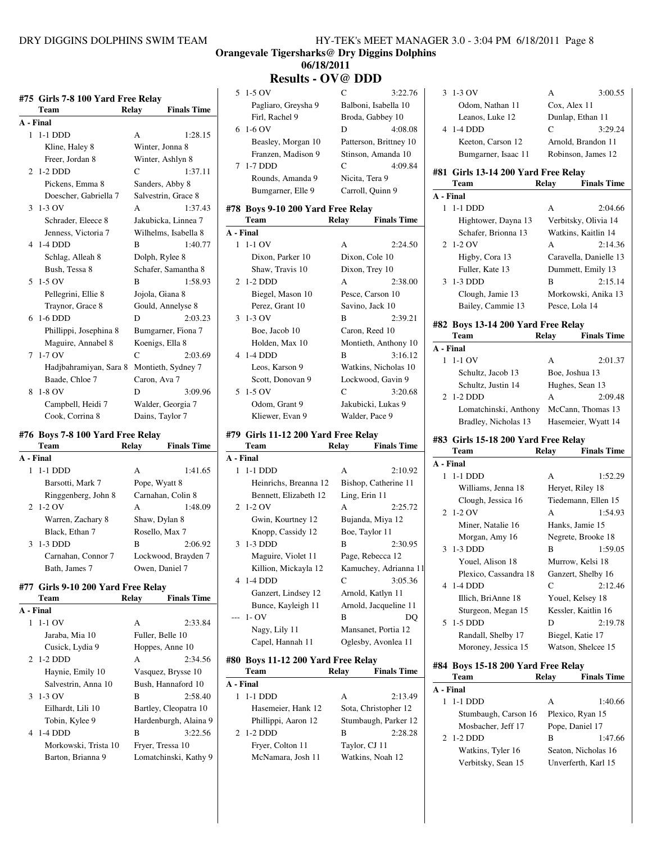| HY-TEK's MEET MANAGER 3.0 - 3:04 PM 6/18/2011 Page 8 |  |
|------------------------------------------------------|--|
|------------------------------------------------------|--|

#### **Orangevale Tigersharks@ Dry Diggins Dolphins 06/18/2011**

# **Results - OV@ DDD**

|              | #75 Girls 7-8 100 Yard Free Relay<br>Team | <b>Finals Time</b><br>Relay |   |
|--------------|-------------------------------------------|-----------------------------|---|
| A - Final    |                                           |                             |   |
| 1            | 1-1 DDD                                   | 1:28.15<br>A                |   |
|              | Kline, Haley 8                            | Winter, Jonna 8             |   |
|              | Freer, Jordan 8                           | Winter, Ashlyn 8            |   |
| 2            | $1-2$ DDD                                 | C<br>1:37.11                |   |
|              | Pickens, Emma 8                           | Sanders, Abby 8             |   |
|              | Doescher, Gabriella 7                     | Salvestrin, Grace 8         |   |
| 3            | $1-3$ OV                                  | 1:37.43<br>A                | # |
|              | Schrader, Eleece 8                        | Jakubicka, Linnea 7         |   |
|              | Jenness, Victoria 7                       | Wilhelms, Isabella 8        | A |
| 4            | $1-4$ DDD                                 | 1:40.77<br>B                |   |
|              | Schlag, Alleah 8                          | Dolph, Rylee 8              |   |
|              | Bush, Tessa 8                             | Schafer, Samantha 8         |   |
| 5            | $1-5$ OV                                  | 1:58.93<br>B                |   |
|              | Pellegrini, Ellie 8                       | Jojola, Giana 8             |   |
|              | Traynor, Grace 8                          | Gould, Annelyse 8           |   |
| 6            | $1-6$ DDD                                 | 2:03.23<br>D                |   |
|              | Phillippi, Josephina 8                    | Bumgarner, Fiona 7          |   |
|              | Maguire, Annabel 8                        | Koenigs, Ella 8             |   |
| 7            | $1-7$ OV                                  | C<br>2:03.69                |   |
|              | Hadjbahramiyan, Sara 8                    | Montieth, Sydney 7          |   |
|              | Baade, Chloe 7                            | Caron, Ava 7                |   |
| 8            | $1-8$ OV                                  | D<br>3:09.96                |   |
|              |                                           | Walder, Georgia 7           |   |
|              | Campbell, Heidi 7                         |                             |   |
|              | Cook, Corrina 8                           | Dains, Taylor 7             |   |
|              | #76 Boys 7-8 100 Yard Free Relay          |                             | # |
|              | Team                                      | <b>Finals Time</b><br>Relay |   |
| A - Final    |                                           |                             | A |
| 1            | $1-1$ DDD                                 | 1:41.65<br>А                |   |
|              | Barsotti, Mark 7                          | Pope, Wyatt 8               |   |
|              | Ringgenberg, John 8                       | Carnahan, Colin 8           |   |
| $\mathbf{2}$ | $1-2$ OV                                  | A<br>1:48.09                |   |
|              | Warren, Zachary 8                         | Shaw, Dylan 8               |   |
|              | Black, Ethan 7                            | Rosello, Max 7              |   |
| 3            | $1-3$ DDD                                 | B<br>2:06.92                |   |
|              | Carnahan, Connor 7                        | Lockwood, Brayden 7         |   |
|              | Bath, James 7                             | Owen, Daniel 7              |   |
|              |                                           |                             |   |
|              | #77 Girls 9-10 200 Yard Free Relay        | <b>Finals Time</b>          |   |
|              | Team                                      | Relay                       |   |
| A - Final    |                                           |                             |   |
| 1            | $1-1$ OV                                  | А<br>2:33.84                |   |
|              | Jaraba, Mia 10                            | Fuller, Belle 10            |   |
|              | Cusick, Lydia 9                           | Hoppes, Anne 10             |   |
| 2            | $1-2$ DDD                                 | A<br>2:34.56                | # |
|              | Havnie, Emily 10                          | Vasquez, Brysse 10          |   |

Salvestrin, Anna 10 Bush, Hannaford 10 3 1-3 OV B 2:58.40 Eilhardt, Lili 10 Bartley, Cleopatra 10 Tobin, Kylee 9 Hardenburgh, Alaina 9 4 1-4 DDD B 3:22.56 Morkowski, Trista 10 Fryer, Tressa 10 Barton, Brianna 9 Lomatchinski, Kathy 9

# 5 1-5 OV C 3:22.76 Pagliaro, Greysha 9 Balboni, Isabella 10 Firl, Rachel 9 Broda, Gabbey 10 6 1-6 OV D 4:08.08 Beasley, Morgan 10 Patterson, Brittney 10 Franzen, Madison 9 Stinson, Amanda 10 7 1-7 DDD C 4:09.84 Rounds, Amanda 9 Nicita, Tera 9 Bumgarner, Elle 9 Carroll, Quinn 9 **#78 Boys 9-10 200 Yard Free Relay Team Relay Finals Time A - Final** 1 1-1 OV A 2:24.50

|   | Dixon, Parker 10 | Dixon, Cole 10       |         |
|---|------------------|----------------------|---------|
|   | Shaw, Travis 10  | Dixon, Trey 10       |         |
|   | 2 1-2 DDD        | A                    | 2:38.00 |
|   | Biegel, Mason 10 | Pesce, Carson 10     |         |
|   | Perez, Grant 10  | Savino, Jack 10      |         |
| 3 | $1-3$ OV         | B                    | 2:39.21 |
|   | Boe, Jacob 10    | Caron, Reed 10       |         |
|   | Holden, Max 10   | Montieth, Anthony 10 |         |
|   | 4 1-4 DDD        | B                    | 3:16.12 |
|   | Leos, Karson 9   | Watkins, Nicholas 10 |         |
|   | Scott, Donovan 9 | Lockwood, Gavin 9    |         |
|   | 5 1-5 OV         | C                    | 3:20.68 |
|   | Odom, Grant 9    | Jakubicki, Lukas 9   |         |
|   | Kliewer, Evan 9  | Walder, Pace 9       |         |

### **#79 Girls 11-12 200 Yard Free Relay**

|              | Team                  | Relav         | <b>Finals Time</b>    |
|--------------|-----------------------|---------------|-----------------------|
|              | A - Final             |               |                       |
| $\mathbf{1}$ | $1-1$ DDD             | A             | 2:10.92               |
|              | Heinrichs, Breanna 12 |               | Bishop, Catherine 11  |
|              | Bennett, Elizabeth 12 | Ling, Erin 11 |                       |
|              | 2 1-2 OV              | A             | 2:25.72               |
|              | Gwin, Kourtney 12     |               | Bujanda, Miya 12      |
|              | Knopp, Cassidy 12     |               | Boe, Taylor 11        |
|              | 3 1-3 DDD             | B             | 2:30.95               |
|              | Maguire, Violet 11    |               | Page, Rebecca 12      |
|              | Killion, Mickayla 12  |               | Kamuchey, Adrianna 11 |
|              | 4 1-4 DDD             | $\mathcal{C}$ | 3:05.36               |
|              | Ganzert, Lindsey 12   |               | Arnold, Katlyn 11     |
|              | Bunce, Kayleigh 11    |               | Arnold, Jacqueline 11 |
|              | --- 1- OV             | B             | DO                    |
|              | Nagy, Lily 11         |               | Mansanet, Portia 12   |
|              | Capel, Hannah 11      |               | Oglesby, Avonlea 11   |

### **#80 Boys 11-12 200 Yard Free Relay**

| <b>Team</b>         | <b>Relay</b> | <b>Finals Time</b>   |
|---------------------|--------------|----------------------|
| A - Final           |              |                      |
| 1 -11 DDD           | A            | 2:13.49              |
| Hasemeier, Hank 12  |              | Sota, Christopher 12 |
| Phillippi, Aaron 12 |              | Stumbaugh, Parker 12 |
| 2 1-2 DDD           | в            | 2:28.28              |
| Fryer, Colton 11    |              | Taylor, CJ 11        |
| McNamara, Josh 11   |              | Watkins, Noah 12     |

|              | 3 1-3 OV                            | 3:00.55<br>А                            |
|--------------|-------------------------------------|-----------------------------------------|
|              | Odom, Nathan 11                     | Cox, Alex 11                            |
|              | Leanos, Luke 12                     | Dunlap, Ethan 11                        |
|              | 4 1-4 DDD                           | C<br>3:29.24                            |
|              | Keeton, Carson 12                   | Arnold, Brandon 11                      |
|              | Bumgarner, Isaac 11                 | Robinson, James 12                      |
|              |                                     |                                         |
|              | #81 Girls 13-14 200 Yard Free Relay |                                         |
|              | Team                                | <b>Finals Time</b><br>Relay             |
| A - Final    |                                     |                                         |
|              | 1 1-1 DDD                           | 2:04.66<br>A                            |
|              | Hightower, Dayna 13                 | Verbitsky, Olivia 14                    |
|              | Schafer, Brionna 13                 | Watkins, Kaitlin 14                     |
|              | 2 1-2 OV                            | A<br>2:14.36                            |
|              | Higby, Cora 13                      | Caravella, Danielle 13                  |
|              | Fuller, Kate 13                     | Dummett, Emily 13                       |
| 3            | $1-3$ DDD                           | 2:15.14<br>B                            |
|              | Clough, Jamie 13                    | Morkowski, Anika 13                     |
|              | Bailey, Cammie 13                   | Pesce, Lola 14                          |
|              |                                     |                                         |
|              | #82 Boys 13-14 200 Yard Free Relay  |                                         |
|              | Team                                | Relay Finals Time                       |
| A - Final    |                                     |                                         |
|              | 1 1-1 OV                            | 2:01.37<br>A                            |
|              | Schultz, Jacob 13                   | Boe, Joshua 13                          |
|              | Schultz, Justin 14                  | Hughes, Sean 13                         |
| $\mathbf{2}$ | $1-2$ DDD                           | A<br>2:09.48                            |
|              |                                     | Lomatchinski, Anthony McCann, Thomas 13 |
|              | Bradley, Nicholas 13                | Hasemeier, Wyatt 14                     |
|              | #83 Girls 15-18 200 Yard Free Relay |                                         |
|              | <b>Team</b>                         | <b>Finals Time</b><br>Relay             |
| A - Final    |                                     |                                         |
| 1            | 1-1 DDD                             | 1:52.29<br>А                            |
|              | Williams, Jenna 18                  | Heryet, Riley 18                        |
|              | Clough, Jessica 16                  | Tiedemann, Ellen 15                     |
|              | 2 1-2 OV                            | A<br>1:54.93                            |
|              | Miner, Natalie 16                   | Hanks, Jamie 15                         |
|              |                                     |                                         |
|              | Morgan, Amy 16                      | Negrete, Brooke 18                      |
| 3            | $1-3$ DDD                           | 1:59.05<br>В                            |
|              | Youel, Alison 18                    | Murrow, Kelsi 18                        |
|              | Plexico, Cassandra 18               | Ganzert, Shelby 16                      |
| 4            | 1-4 DDD                             | C<br>2:12.46                            |
|              | Illich, BriAnne 18                  | Youel, Kelsey 18                        |
|              | Sturgeon, Megan 15                  | Kessler, Kaitlin 16                     |
| 5            | 1-5 DDD                             | D<br>2:19.78                            |
|              | Randall, Shelby 17                  | Biegel, Katie 17                        |
|              | Moroney, Jessica 15                 | Watson, Shelcee 15                      |

|           | #84 Boys 15-18 200 Yard Free Relay |       |                     |  |
|-----------|------------------------------------|-------|---------------------|--|
|           | Team                               | Relay | <b>Finals Time</b>  |  |
| A - Final |                                    |       |                     |  |
|           | 1-1 DDD                            | A     | 1:40.66             |  |
|           | Stumbaugh, Carson 16               |       | Plexico, Ryan 15    |  |
|           | Mosbacher, Jeff 17                 |       | Pope, Daniel 17     |  |
|           | 2 1-2 DDD                          | в     | 1:47.66             |  |
|           | Watkins, Tyler 16                  |       | Seaton, Nicholas 16 |  |
|           | Verbitsky, Sean 15                 |       | Unverferth, Karl 15 |  |